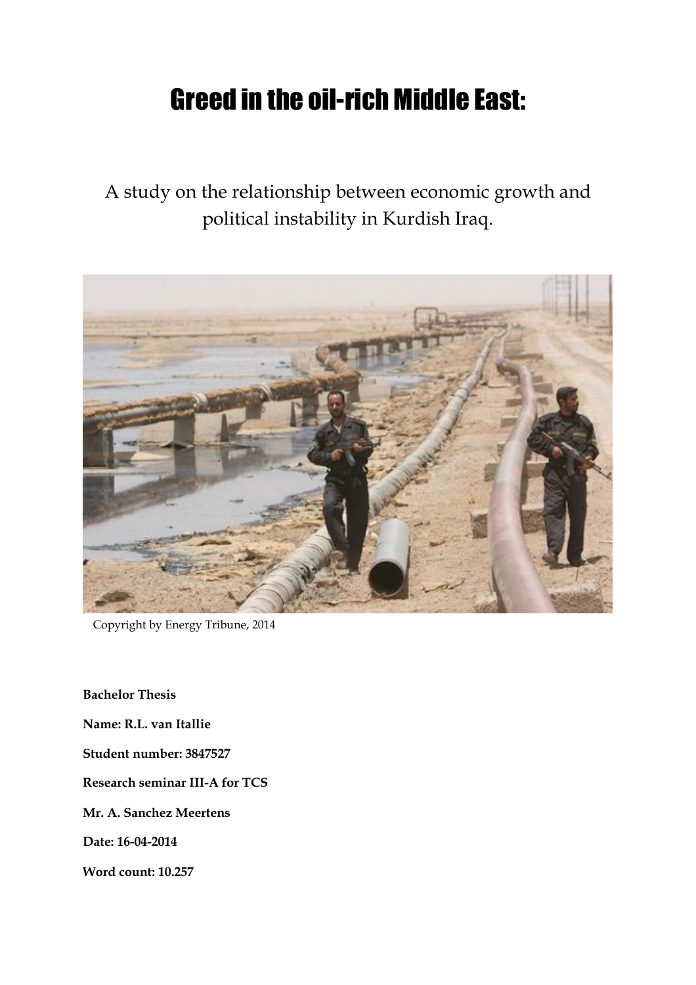# Greed in the oil-rich Middle East:

A study on the relationship between economic growth and political instability in Kurdish Iraq.



Copyright by Energy Tribune, 2014

**Bachelor Thesis Name: R.L. van Itallie Student number: 3847527 Research seminar III-A for TCS Mr. A. Sanchez Meertens Date: 16-04-2014 Word count: 10.257**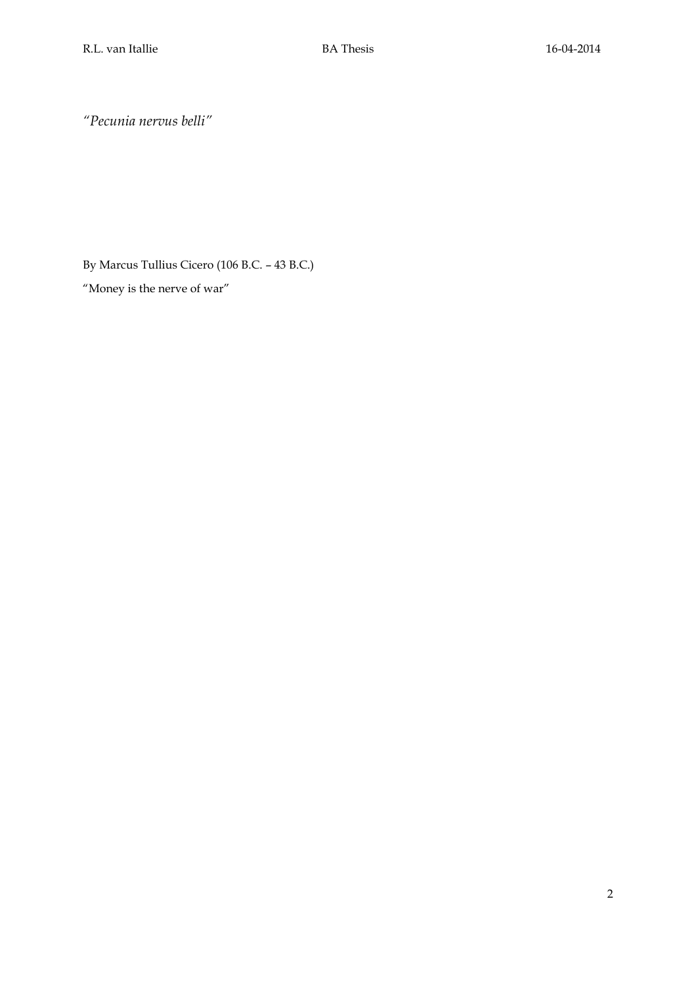*"Pecunia nervus belli"*

By Marcus Tullius Cicero (106 B.C. – 43 B.C.) "Money is the nerve of war"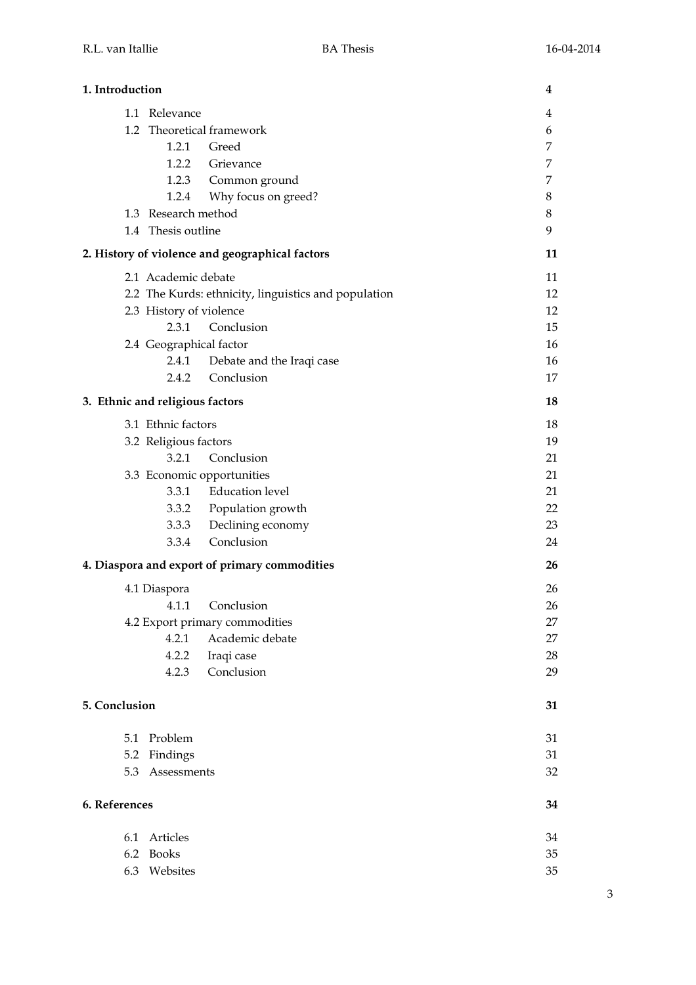| 1. Introduction |                                                      | 4       |
|-----------------|------------------------------------------------------|---------|
|                 | 1.1 Relevance                                        | 4       |
|                 | 1.2 Theoretical framework                            | 6       |
|                 | 1.2.1 Greed                                          | 7       |
|                 | 1.2.2 Grievance                                      | 7       |
|                 | 1.2.3 Common ground                                  | 7       |
|                 | Why focus on greed?<br>1.2.4                         | 8       |
|                 | 1.3 Research method                                  | $\,8\,$ |
|                 | 1.4 Thesis outline                                   | 9       |
|                 | 2. History of violence and geographical factors      | 11      |
|                 | 2.1 Academic debate                                  | 11      |
|                 | 2.2 The Kurds: ethnicity, linguistics and population | 12      |
|                 | 2.3 History of violence                              | 12      |
|                 | Conclusion<br>2.3.1                                  | 15      |
|                 | 2.4 Geographical factor                              | 16      |
|                 | 2.4.1 Debate and the Iraqi case                      | 16      |
|                 | Conclusion<br>2.4.2                                  | 17      |
|                 | 3. Ethnic and religious factors                      | 18      |
|                 | 3.1 Ethnic factors                                   | 18      |
|                 | 3.2 Religious factors                                | 19      |
|                 | 3.2.1 Conclusion                                     | 21      |
|                 | 3.3 Economic opportunities                           | 21      |
|                 | 3.3.1 Education level                                | 21      |
|                 | 3.3.2 Population growth                              | 22      |
|                 | 3.3.3 Declining economy                              | 23      |
|                 | 3.3.4 Conclusion                                     | 24      |
|                 | 4. Diaspora and export of primary commodities        | 26      |
|                 | 4.1 Diaspora                                         | 26      |
|                 | 4.1.1 Conclusion                                     | 26      |
|                 | 4.2 Export primary commodities                       | 27      |
|                 | Academic debate<br>4.2.1                             | 27      |
|                 | 4.2.2<br>Iraqi case                                  | 28      |
|                 | Conclusion<br>4.2.3                                  | 29      |
| 5. Conclusion   |                                                      | 31      |
| 5.1             | Problem                                              | 31      |
|                 | 5.2 Findings                                         | 31      |
|                 | 5.3 Assessments                                      | 32      |
| 6. References   |                                                      | 34      |
| 6.1             | Articles                                             | 34      |
| 6.2             | <b>Books</b>                                         | 35      |
|                 | 6.3 Websites                                         | 35      |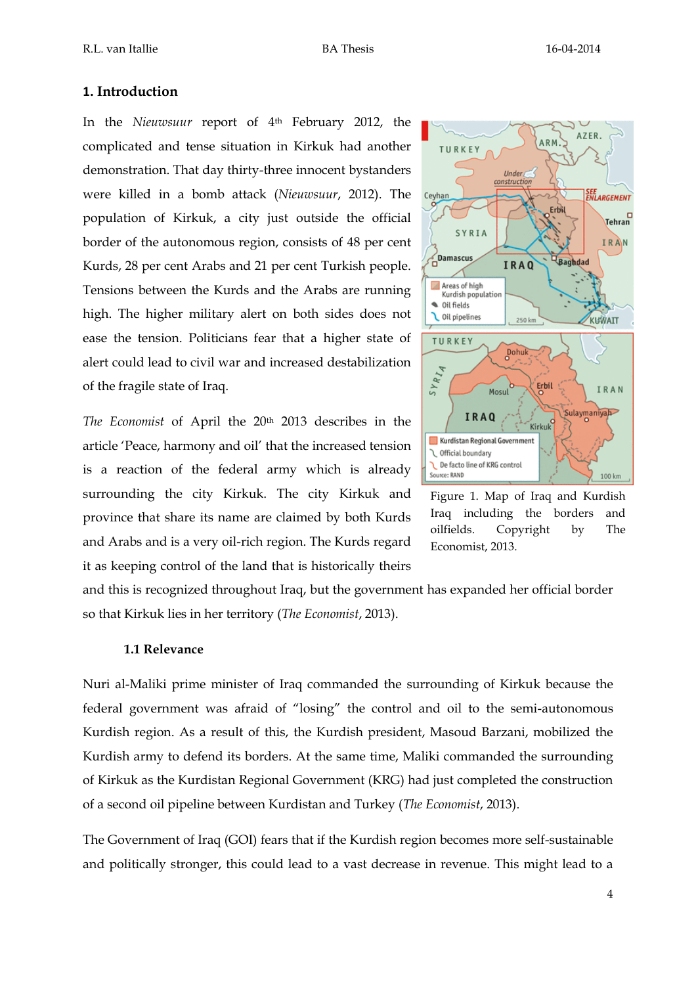## **1. Introduction**

In the *Nieuwsuur* report of 4th February 2012, the complicated and tense situation in Kirkuk had another demonstration. That day thirty-three innocent bystanders were killed in a bomb attack (*Nieuwsuur*, 2012). The population of Kirkuk, a city just outside the official border of the autonomous region, consists of 48 per cent Kurds, 28 per cent Arabs and 21 per cent Turkish people. Tensions between the Kurds and the Arabs are running high. The higher military alert on both sides does not ease the tension. Politicians fear that a higher state of alert could lead to civil war and increased destabilization of the fragile state of Iraq.

*The Economist* of April the 20th 2013 describes in the article 'Peace, harmony and oil' that the increased tension is a reaction of the federal army which is already surrounding the city Kirkuk. The city Kirkuk and province that share its name are claimed by both Kurds and Arabs and is a very oil-rich region. The Kurds regard it as keeping control of the land that is historically theirs



Figure 1. Map of Iraq and Kurdish Iraq including the borders and oilfields. Copyright by The Economist, 2013.

and this is recognized throughout Iraq, but the government has expanded her official border so that Kirkuk lies in her territory (*The Economist*, 2013).

## **1.1 Relevance**

Nuri al-Maliki prime minister of Iraq commanded the surrounding of Kirkuk because the federal government was afraid of "losing" the control and oil to the semi-autonomous Kurdish region. As a result of this, the Kurdish president, Masoud Barzani, mobilized the Kurdish army to defend its borders. At the same time, Maliki commanded the surrounding of Kirkuk as the Kurdistan Regional Government (KRG) had just completed the construction of a second oil pipeline between Kurdistan and Turkey (*The Economist*, 2013).

The Government of Iraq (GOI) fears that if the Kurdish region becomes more self-sustainable and politically stronger, this could lead to a vast decrease in revenue. This might lead to a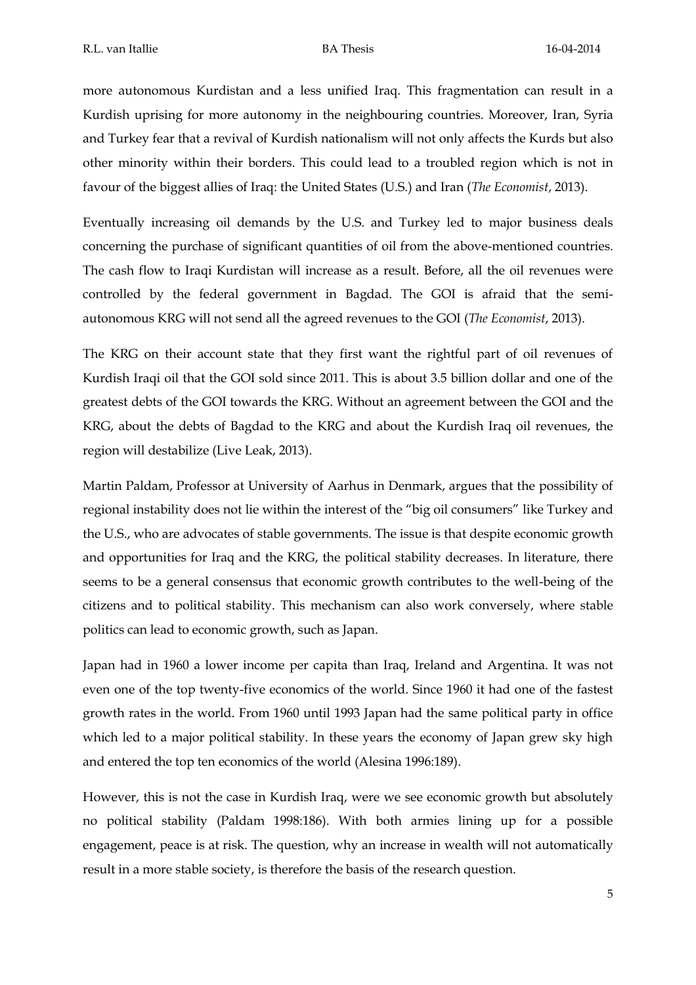more autonomous Kurdistan and a less unified Iraq. This fragmentation can result in a Kurdish uprising for more autonomy in the neighbouring countries. Moreover, Iran, Syria and Turkey fear that a revival of Kurdish nationalism will not only affects the Kurds but also other minority within their borders. This could lead to a troubled region which is not in favour of the biggest allies of Iraq: the United States (U.S.) and Iran (*The Economist*, 2013).

Eventually increasing oil demands by the U.S. and Turkey led to major business deals concerning the purchase of significant quantities of oil from the above-mentioned countries. The cash flow to Iraqi Kurdistan will increase as a result. Before, all the oil revenues were controlled by the federal government in Bagdad. The GOI is afraid that the semiautonomous KRG will not send all the agreed revenues to the GOI (*The Economist*, 2013).

The KRG on their account state that they first want the rightful part of oil revenues of Kurdish Iraqi oil that the GOI sold since 2011. This is about 3.5 billion dollar and one of the greatest debts of the GOI towards the KRG. Without an agreement between the GOI and the KRG, about the debts of Bagdad to the KRG and about the Kurdish Iraq oil revenues, the region will destabilize (Live Leak, 2013).

Martin Paldam, Professor at University of Aarhus in Denmark, argues that the possibility of regional instability does not lie within the interest of the "big oil consumers" like Turkey and the U.S., who are advocates of stable governments. The issue is that despite economic growth and opportunities for Iraq and the KRG, the political stability decreases. In literature, there seems to be a general consensus that economic growth contributes to the well-being of the citizens and to political stability. This mechanism can also work conversely, where stable politics can lead to economic growth, such as Japan.

Japan had in 1960 a lower income per capita than Iraq, Ireland and Argentina. It was not even one of the top twenty-five economics of the world. Since 1960 it had one of the fastest growth rates in the world. From 1960 until 1993 Japan had the same political party in office which led to a major political stability. In these years the economy of Japan grew sky high and entered the top ten economics of the world (Alesina 1996:189).

However, this is not the case in Kurdish Iraq, were we see economic growth but absolutely no political stability (Paldam 1998:186). With both armies lining up for a possible engagement, peace is at risk. The question, why an increase in wealth will not automatically result in a more stable society, is therefore the basis of the research question.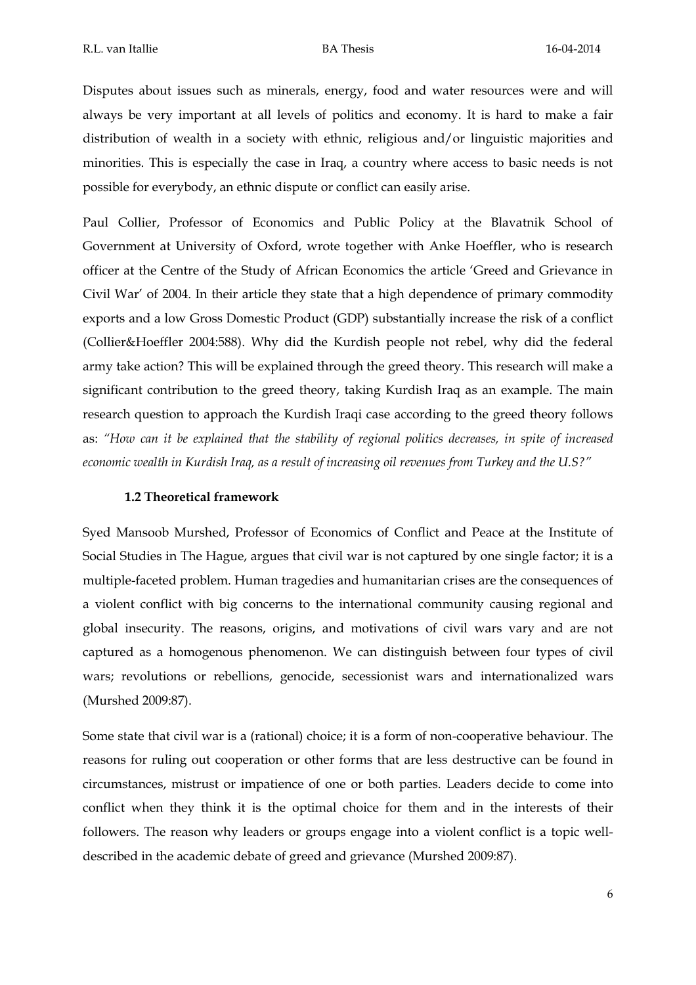Disputes about issues such as minerals, energy, food and water resources were and will always be very important at all levels of politics and economy. It is hard to make a fair distribution of wealth in a society with ethnic, religious and/or linguistic majorities and minorities. This is especially the case in Iraq, a country where access to basic needs is not possible for everybody, an ethnic dispute or conflict can easily arise.

Paul Collier, Professor of Economics and Public Policy at the Blavatnik School of Government at University of Oxford, wrote together with Anke Hoeffler, who is research officer at the Centre of the Study of African Economics the article 'Greed and Grievance in Civil War' of 2004. In their article they state that a high dependence of primary commodity exports and a low Gross Domestic Product (GDP) substantially increase the risk of a conflict (Collier&Hoeffler 2004:588). Why did the Kurdish people not rebel, why did the federal army take action? This will be explained through the greed theory. This research will make a significant contribution to the greed theory, taking Kurdish Iraq as an example. The main research question to approach the Kurdish Iraqi case according to the greed theory follows as: *"How can it be explained that the stability of regional politics decreases, in spite of increased economic wealth in Kurdish Iraq, as a result of increasing oil revenues from Turkey and the U.S?"*

## **1.2 Theoretical framework**

Syed Mansoob Murshed, Professor of Economics of Conflict and Peace at the Institute of Social Studies in The Hague, argues that civil war is not captured by one single factor; it is a multiple-faceted problem. Human tragedies and humanitarian crises are the consequences of a violent conflict with big concerns to the international community causing regional and global insecurity. The reasons, origins, and motivations of civil wars vary and are not captured as a homogenous phenomenon. We can distinguish between four types of civil wars; revolutions or rebellions, genocide, secessionist wars and internationalized wars (Murshed 2009:87).

Some state that civil war is a (rational) choice; it is a form of non-cooperative behaviour. The reasons for ruling out cooperation or other forms that are less destructive can be found in circumstances, mistrust or impatience of one or both parties. Leaders decide to come into conflict when they think it is the optimal choice for them and in the interests of their followers. The reason why leaders or groups engage into a violent conflict is a topic welldescribed in the academic debate of greed and grievance (Murshed 2009:87).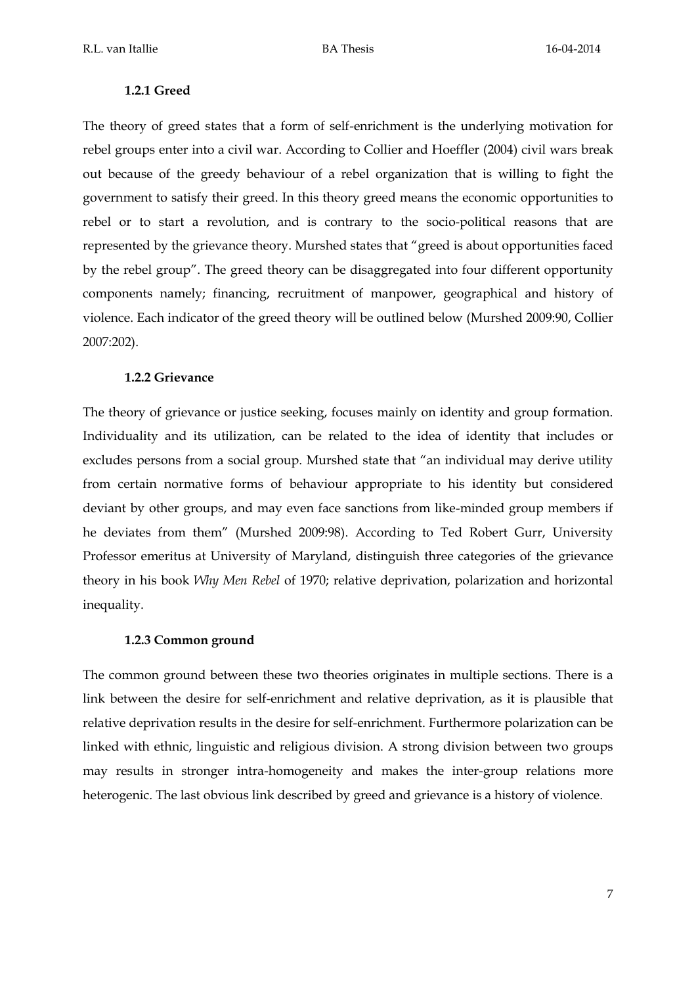## **1.2.1 Greed**

The theory of greed states that a form of self-enrichment is the underlying motivation for rebel groups enter into a civil war. According to Collier and Hoeffler (2004) civil wars break out because of the greedy behaviour of a rebel organization that is willing to fight the government to satisfy their greed. In this theory greed means the economic opportunities to rebel or to start a revolution, and is contrary to the socio-political reasons that are represented by the grievance theory. Murshed states that "greed is about opportunities faced by the rebel group". The greed theory can be disaggregated into four different opportunity components namely; financing, recruitment of manpower, geographical and history of violence. Each indicator of the greed theory will be outlined below (Murshed 2009:90, Collier 2007:202).

#### **1.2.2 Grievance**

The theory of grievance or justice seeking, focuses mainly on identity and group formation. Individuality and its utilization, can be related to the idea of identity that includes or excludes persons from a social group. Murshed state that "an individual may derive utility from certain normative forms of behaviour appropriate to his identity but considered deviant by other groups, and may even face sanctions from like-minded group members if he deviates from them" (Murshed 2009:98). According to Ted Robert Gurr, University Professor emeritus at University of Maryland, distinguish three categories of the grievance theory in his book *Why Men Rebel* of 1970; relative deprivation, polarization and horizontal inequality.

#### **1.2.3 Common ground**

The common ground between these two theories originates in multiple sections. There is a link between the desire for self-enrichment and relative deprivation, as it is plausible that relative deprivation results in the desire for self-enrichment. Furthermore polarization can be linked with ethnic, linguistic and religious division. A strong division between two groups may results in stronger intra-homogeneity and makes the inter-group relations more heterogenic. The last obvious link described by greed and grievance is a history of violence.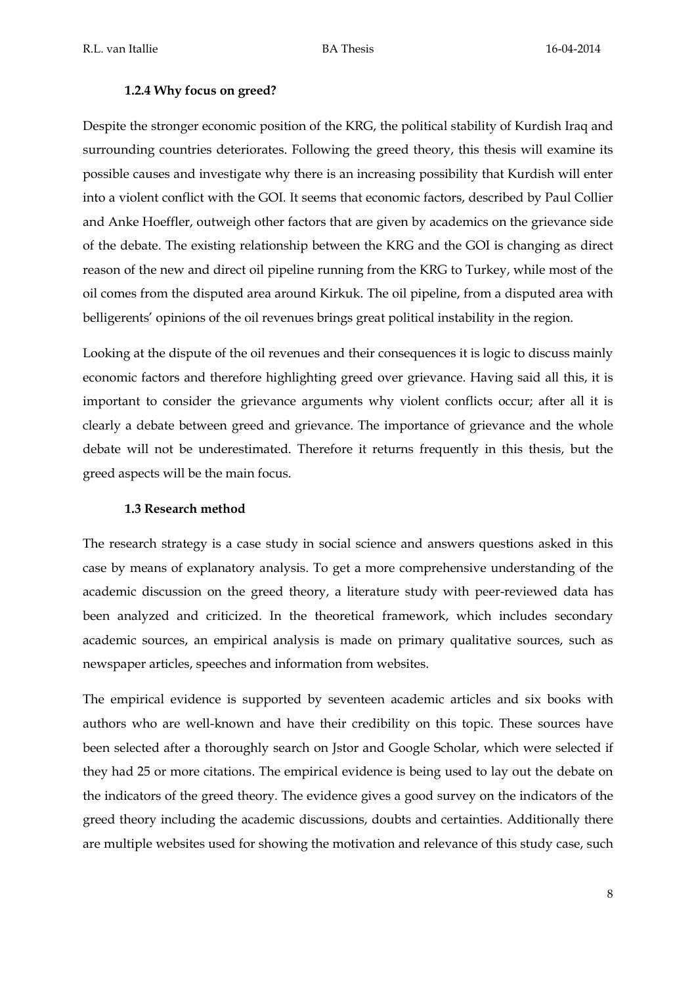#### **1.2.4 Why focus on greed?**

Despite the stronger economic position of the KRG, the political stability of Kurdish Iraq and surrounding countries deteriorates. Following the greed theory, this thesis will examine its possible causes and investigate why there is an increasing possibility that Kurdish will enter into a violent conflict with the GOI. It seems that economic factors, described by Paul Collier and Anke Hoeffler, outweigh other factors that are given by academics on the grievance side of the debate. The existing relationship between the KRG and the GOI is changing as direct reason of the new and direct oil pipeline running from the KRG to Turkey, while most of the oil comes from the disputed area around Kirkuk. The oil pipeline, from a disputed area with belligerents' opinions of the oil revenues brings great political instability in the region.

Looking at the dispute of the oil revenues and their consequences it is logic to discuss mainly economic factors and therefore highlighting greed over grievance. Having said all this, it is important to consider the grievance arguments why violent conflicts occur; after all it is clearly a debate between greed and grievance. The importance of grievance and the whole debate will not be underestimated. Therefore it returns frequently in this thesis, but the greed aspects will be the main focus.

#### **1.3 Research method**

The research strategy is a case study in social science and answers questions asked in this case by means of explanatory analysis. To get a more comprehensive understanding of the academic discussion on the greed theory, a literature study with peer-reviewed data has been analyzed and criticized. In the theoretical framework, which includes secondary academic sources, an empirical analysis is made on primary qualitative sources, such as newspaper articles, speeches and information from websites.

The empirical evidence is supported by seventeen academic articles and six books with authors who are well-known and have their credibility on this topic. These sources have been selected after a thoroughly search on Jstor and Google Scholar, which were selected if they had 25 or more citations. The empirical evidence is being used to lay out the debate on the indicators of the greed theory. The evidence gives a good survey on the indicators of the greed theory including the academic discussions, doubts and certainties. Additionally there are multiple websites used for showing the motivation and relevance of this study case, such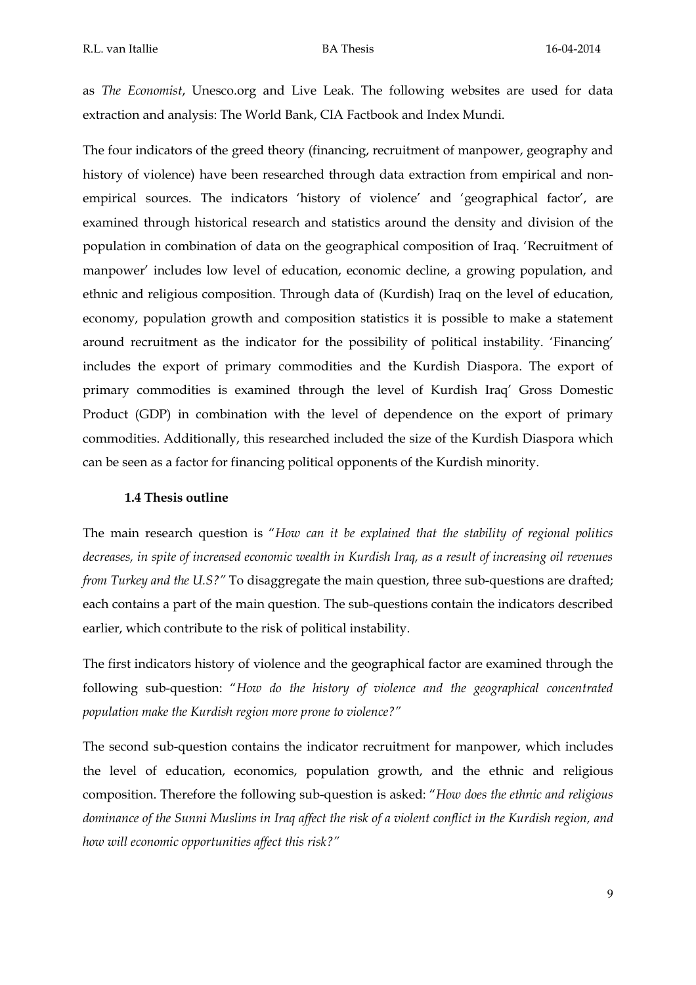as *The Economist*, Unesco.org and Live Leak. The following websites are used for data extraction and analysis: The World Bank, CIA Factbook and Index Mundi.

The four indicators of the greed theory (financing, recruitment of manpower, geography and history of violence) have been researched through data extraction from empirical and nonempirical sources. The indicators 'history of violence' and 'geographical factor', are examined through historical research and statistics around the density and division of the population in combination of data on the geographical composition of Iraq. 'Recruitment of manpower' includes low level of education, economic decline, a growing population, and ethnic and religious composition. Through data of (Kurdish) Iraq on the level of education, economy, population growth and composition statistics it is possible to make a statement around recruitment as the indicator for the possibility of political instability. 'Financing' includes the export of primary commodities and the Kurdish Diaspora. The export of primary commodities is examined through the level of Kurdish Iraq' Gross Domestic Product (GDP) in combination with the level of dependence on the export of primary commodities. Additionally, this researched included the size of the Kurdish Diaspora which can be seen as a factor for financing political opponents of the Kurdish minority.

#### **1.4 Thesis outline**

The main research question is "*How can it be explained that the stability of regional politics decreases, in spite of increased economic wealth in Kurdish Iraq, as a result of increasing oil revenues from Turkey and the U.S?"* To disaggregate the main question, three sub-questions are drafted; each contains a part of the main question. The sub-questions contain the indicators described earlier, which contribute to the risk of political instability.

The first indicators history of violence and the geographical factor are examined through the following sub-question: "*How do the history of violence and the geographical concentrated population make the Kurdish region more prone to violence?"*

The second sub-question contains the indicator recruitment for manpower, which includes the level of education, economics, population growth, and the ethnic and religious composition. Therefore the following sub-question is asked: "*How does the ethnic and religious dominance of the Sunni Muslims in Iraq affect the risk of a violent conflict in the Kurdish region, and how will economic opportunities affect this risk?"*

9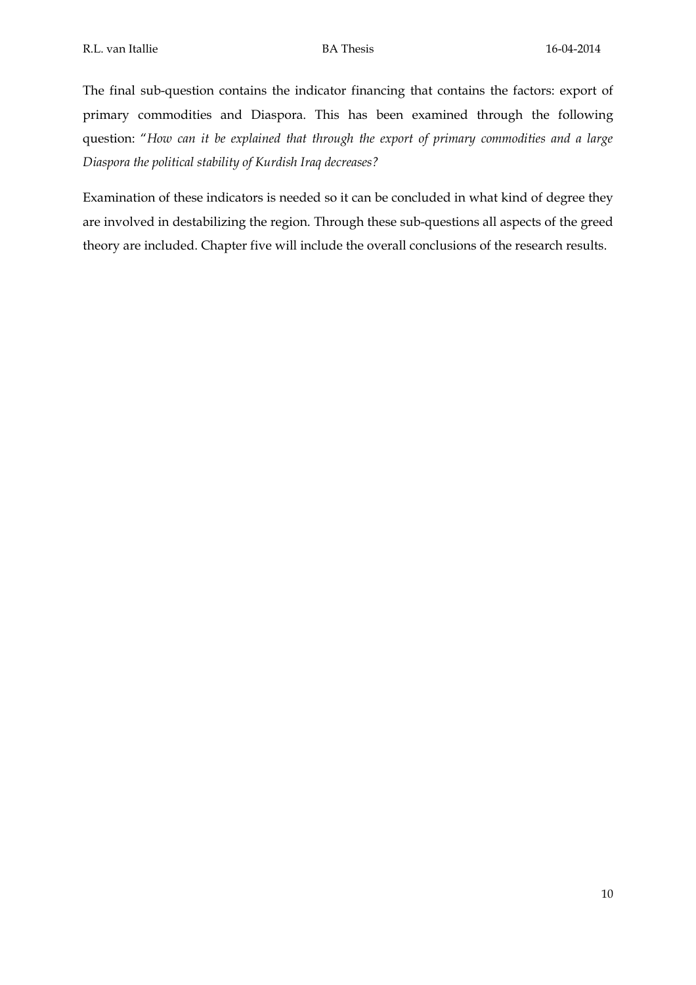The final sub-question contains the indicator financing that contains the factors: export of primary commodities and Diaspora. This has been examined through the following question: "*How can it be explained that through the export of primary commodities and a large Diaspora the political stability of Kurdish Iraq decreases?*

Examination of these indicators is needed so it can be concluded in what kind of degree they are involved in destabilizing the region. Through these sub-questions all aspects of the greed theory are included. Chapter five will include the overall conclusions of the research results.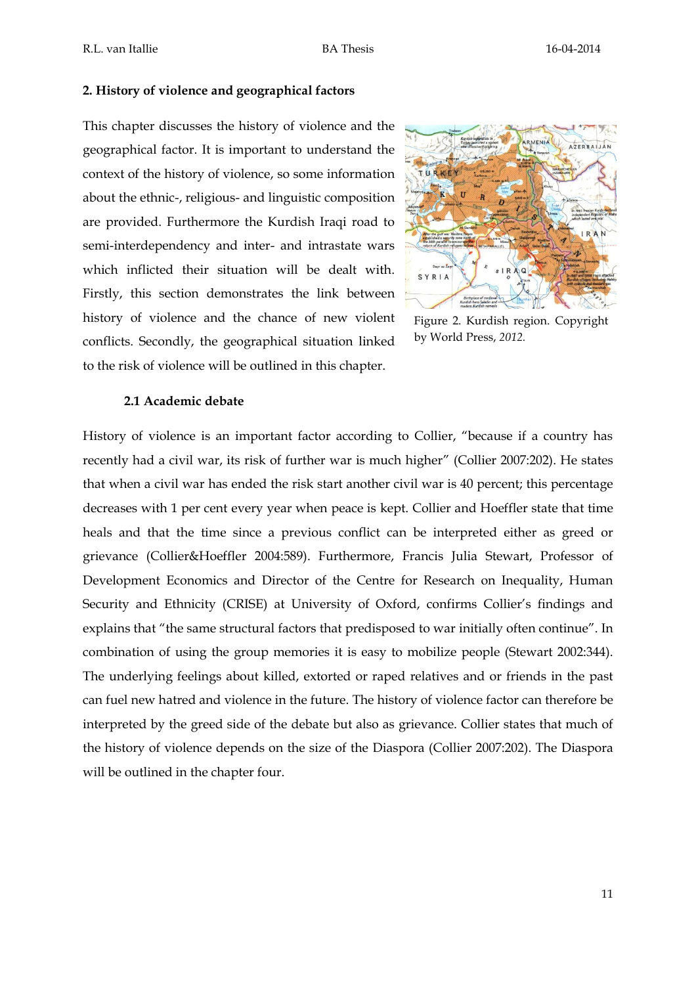### **2. History of violence and geographical factors**

This chapter discusses the history of violence and the geographical factor. It is important to understand the context of the history of violence, so some information about the ethnic-, religious- and linguistic composition are provided. Furthermore the Kurdish Iraqi road to semi-interdependency and inter- and intrastate wars which inflicted their situation will be dealt with. Firstly, this section demonstrates the link between history of violence and the chance of new violent conflicts. Secondly, the geographical situation linked to the risk of violence will be outlined in this chapter.



Figure 2. Kurdish region. Copyright by World Press, *2012.*

## **2.1 Academic debate**

History of violence is an important factor according to Collier, "because if a country has recently had a civil war, its risk of further war is much higher" (Collier 2007:202). He states that when a civil war has ended the risk start another civil war is 40 percent; this percentage decreases with 1 per cent every year when peace is kept. Collier and Hoeffler state that time heals and that the time since a previous conflict can be interpreted either as greed or grievance (Collier&Hoeffler 2004:589). Furthermore, Francis Julia Stewart, Professor of Development Economics and Director of the Centre for Research on Inequality, Human Security and Ethnicity (CRISE) at University of Oxford, confirms Collier's findings and explains that "the same structural factors that predisposed to war initially often continue". In combination of using the group memories it is easy to mobilize people (Stewart 2002:344). The underlying feelings about killed, extorted or raped relatives and or friends in the past can fuel new hatred and violence in the future. The history of violence factor can therefore be interpreted by the greed side of the debate but also as grievance. Collier states that much of the history of violence depends on the size of the Diaspora (Collier 2007:202). The Diaspora will be outlined in the chapter four.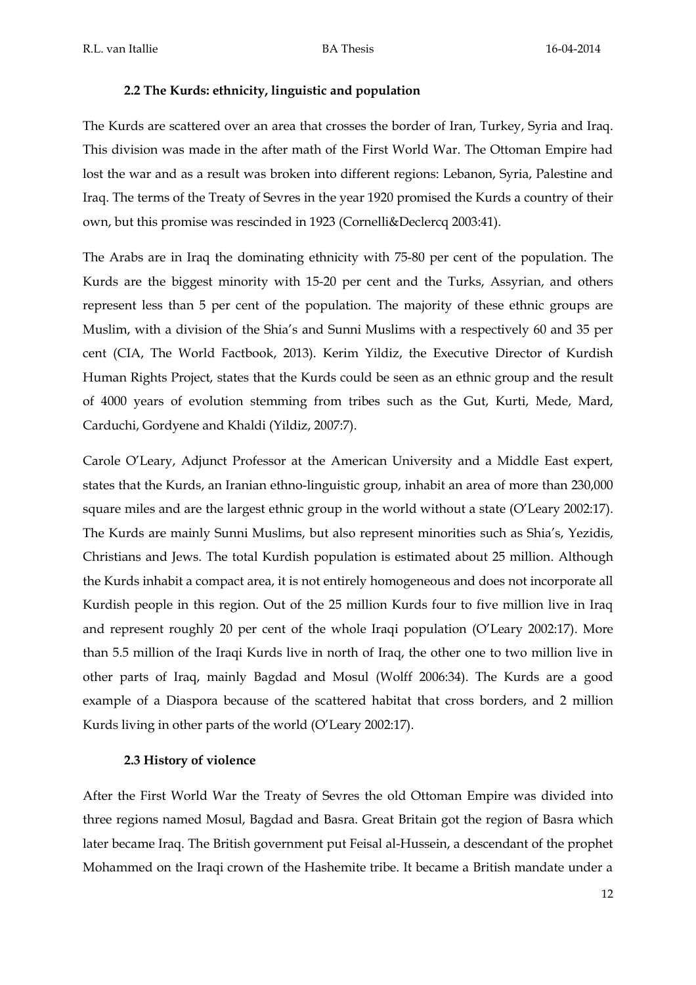# **2.2 The Kurds: ethnicity, linguistic and population**

The Kurds are scattered over an area that crosses the border of Iran, Turkey, Syria and Iraq. This division was made in the after math of the First World War. The Ottoman Empire had lost the war and as a result was broken into different regions: Lebanon, Syria, Palestine and Iraq. The terms of the Treaty of Sevres in the year 1920 promised the Kurds a country of their own, but this promise was rescinded in 1923 (Cornelli&Declercq 2003:41).

The Arabs are in Iraq the dominating ethnicity with 75-80 per cent of the population. The Kurds are the biggest minority with 15-20 per cent and the Turks, Assyrian, and others represent less than 5 per cent of the population. The majority of these ethnic groups are Muslim, with a division of the Shia's and Sunni Muslims with a respectively 60 and 35 per cent (CIA, The World Factbook, 2013). Kerim Yildiz, the Executive Director of Kurdish Human Rights Project, states that the Kurds could be seen as an ethnic group and the result of 4000 years of evolution stemming from tribes such as the Gut, Kurti, Mede, Mard, Carduchi, Gordyene and Khaldi (Yildiz, 2007:7).

Carole O'Leary, Adjunct Professor at the American University and a Middle East expert, states that the Kurds, an Iranian ethno-linguistic group, inhabit an area of more than 230,000 square miles and are the largest ethnic group in the world without a state (O'Leary 2002:17). The Kurds are mainly Sunni Muslims, but also represent minorities such as Shia's, Yezidis, Christians and Jews. The total Kurdish population is estimated about 25 million. Although the Kurds inhabit a compact area, it is not entirely homogeneous and does not incorporate all Kurdish people in this region. Out of the 25 million Kurds four to five million live in Iraq and represent roughly 20 per cent of the whole Iraqi population (O'Leary 2002:17). More than 5.5 million of the Iraqi Kurds live in north of Iraq, the other one to two million live in other parts of Iraq, mainly Bagdad and Mosul (Wolff 2006:34). The Kurds are a good example of a Diaspora because of the scattered habitat that cross borders, and 2 million Kurds living in other parts of the world (O'Leary 2002:17).

# **2.3 History of violence**

After the First World War the Treaty of Sevres the old Ottoman Empire was divided into three regions named Mosul, Bagdad and Basra. Great Britain got the region of Basra which later became Iraq. The British government put Feisal al-Hussein, a descendant of the prophet Mohammed on the Iraqi crown of the Hashemite tribe. It became a British mandate under a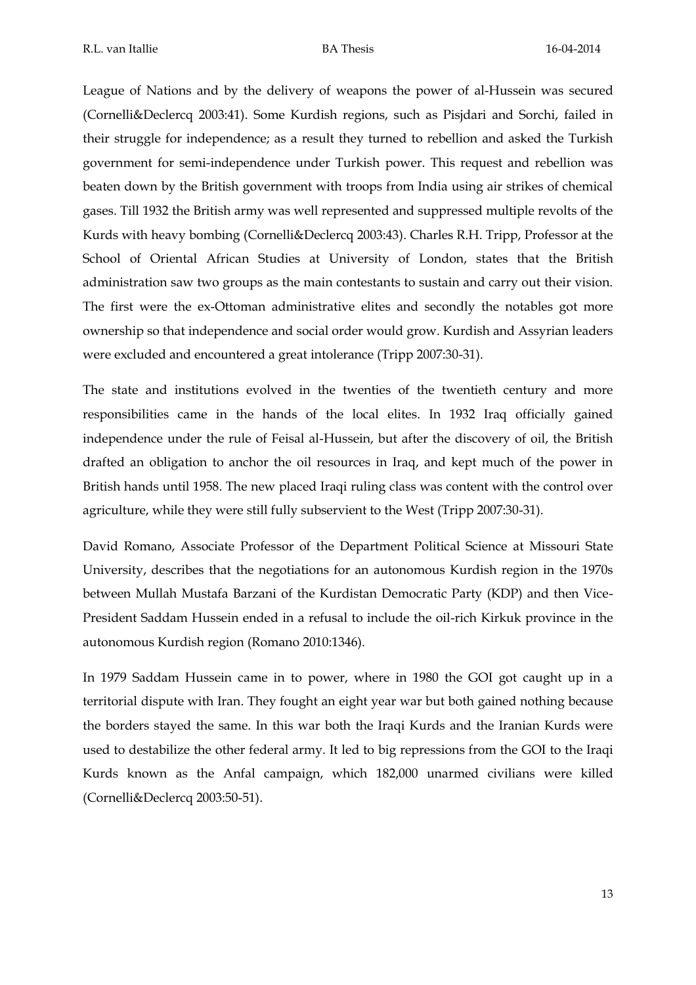League of Nations and by the delivery of weapons the power of al-Hussein was secured (Cornelli&Declercq 2003:41). Some Kurdish regions, such as Pisjdari and Sorchi, failed in their struggle for independence; as a result they turned to rebellion and asked the Turkish government for semi-independence under Turkish power. This request and rebellion was beaten down by the British government with troops from India using air strikes of chemical gases. Till 1932 the British army was well represented and suppressed multiple revolts of the Kurds with heavy bombing (Cornelli&Declercq 2003:43). Charles R.H. Tripp, Professor at the School of Oriental African Studies at University of London, states that the British administration saw two groups as the main contestants to sustain and carry out their vision. The first were the ex-Ottoman administrative elites and secondly the notables got more ownership so that independence and social order would grow. Kurdish and Assyrian leaders were excluded and encountered a great intolerance (Tripp 2007:30-31).

The state and institutions evolved in the twenties of the twentieth century and more responsibilities came in the hands of the local elites. In 1932 Iraq officially gained independence under the rule of Feisal al-Hussein, but after the discovery of oil, the British drafted an obligation to anchor the oil resources in Iraq, and kept much of the power in British hands until 1958. The new placed Iraqi ruling class was content with the control over agriculture, while they were still fully subservient to the West (Tripp 2007:30-31).

David Romano, Associate Professor of the Department Political Science at Missouri State University, describes that the negotiations for an autonomous Kurdish region in the 1970s between Mullah Mustafa Barzani of the Kurdistan Democratic Party (KDP) and then Vice-President Saddam Hussein ended in a refusal to include the oil-rich Kirkuk province in the autonomous Kurdish region (Romano 2010:1346).

In 1979 Saddam Hussein came in to power, where in 1980 the GOI got caught up in a territorial dispute with Iran. They fought an eight year war but both gained nothing because the borders stayed the same. In this war both the Iraqi Kurds and the Iranian Kurds were used to destabilize the other federal army. It led to big repressions from the GOI to the Iraqi Kurds known as the Anfal campaign, which 182,000 unarmed civilians were killed (Cornelli&Declercq 2003:50-51).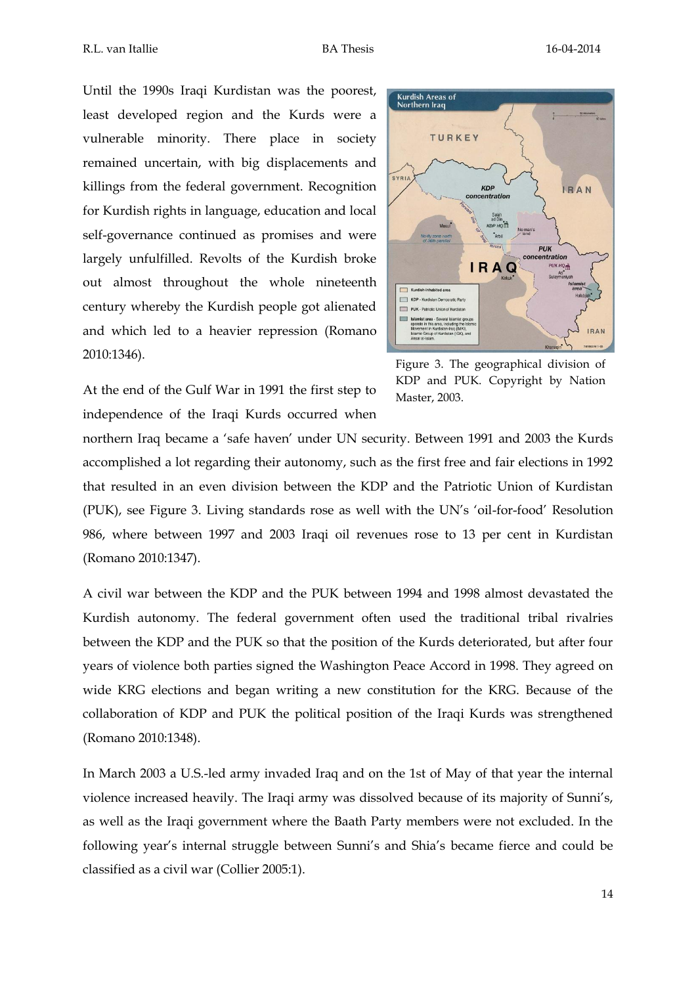Until the 1990s Iraqi Kurdistan was the poorest, least developed region and the Kurds were a vulnerable minority. There place in society remained uncertain, with big displacements and killings from the federal government. Recognition for Kurdish rights in language, education and local self-governance continued as promises and were largely unfulfilled. Revolts of the Kurdish broke out almost throughout the whole nineteenth century whereby the Kurdish people got alienated and which led to a heavier repression (Romano 2010:1346).



At the end of the Gulf War in 1991 the first step to independence of the Iraqi Kurds occurred when

Figure 3. The geographical division of KDP and PUK. Copyright by Nation Master, 2003.

northern Iraq became a 'safe haven' under UN security. Between 1991 and 2003 the Kurds accomplished a lot regarding their autonomy, such as the first free and fair elections in 1992 that resulted in an even division between the KDP and the Patriotic Union of Kurdistan (PUK), see Figure 3. Living standards rose as well with the UN's 'oil-for-food' Resolution 986, where between 1997 and 2003 Iraqi oil revenues rose to 13 per cent in Kurdistan (Romano 2010:1347).

A civil war between the KDP and the PUK between 1994 and 1998 almost devastated the Kurdish autonomy. The federal government often used the traditional tribal rivalries between the KDP and the PUK so that the position of the Kurds deteriorated, but after four years of violence both parties signed the Washington Peace Accord in 1998. They agreed on wide KRG elections and began writing a new constitution for the KRG. Because of the collaboration of KDP and PUK the political position of the Iraqi Kurds was strengthened (Romano 2010:1348).

In March 2003 a U.S.-led army invaded Iraq and on the 1st of May of that year the internal violence increased heavily. The Iraqi army was dissolved because of its majority of Sunni's, as well as the Iraqi government where the Baath Party members were not excluded. In the following year's internal struggle between Sunni's and Shia's became fierce and could be classified as a civil war (Collier 2005:1).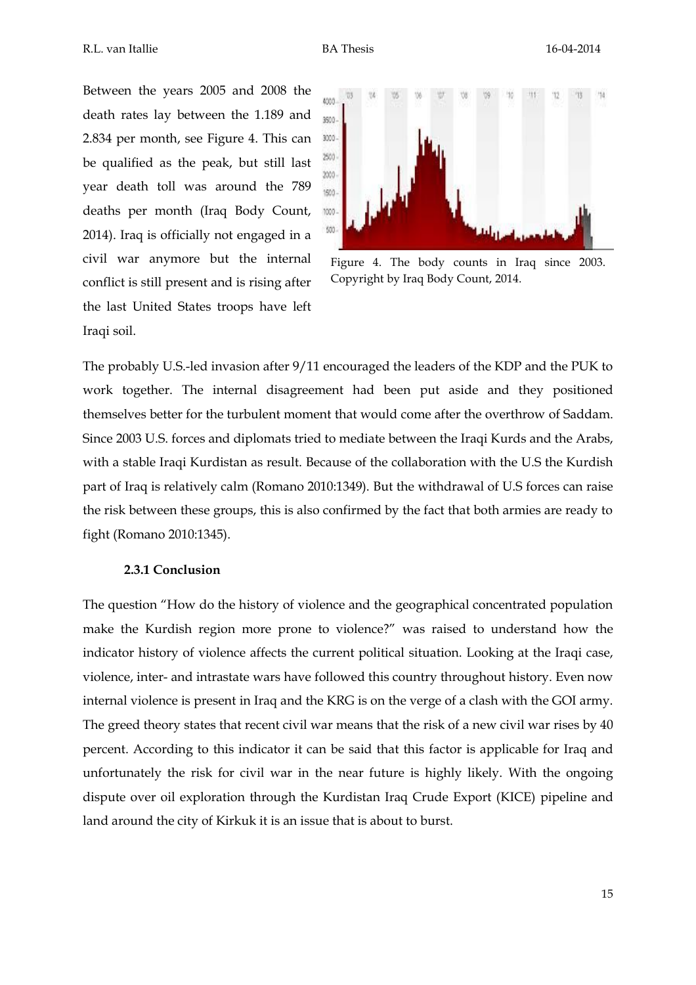Between the years 2005 and 2008 the death rates lay between the 1.189 and 2.834 per month, see Figure 4. This can be qualified as the peak, but still last year death toll was around the 789 deaths per month (Iraq Body Count, 2014). Iraq is officially not engaged in a civil war anymore but the internal conflict is still present and is rising after the last United States troops have left Iraqi soil.



Figure 4. The body counts in Iraq since 2003. Copyright by Iraq Body Count, 2014.

The probably U.S.-led invasion after 9/11 encouraged the leaders of the KDP and the PUK to work together. The internal disagreement had been put aside and they positioned themselves better for the turbulent moment that would come after the overthrow of Saddam. Since 2003 U.S. forces and diplomats tried to mediate between the Iraqi Kurds and the Arabs, with a stable Iraqi Kurdistan as result. Because of the collaboration with the U.S the Kurdish part of Iraq is relatively calm (Romano 2010:1349). But the withdrawal of U.S forces can raise the risk between these groups, this is also confirmed by the fact that both armies are ready to fight (Romano 2010:1345).

#### **2.3.1 Conclusion**

The question "How do the history of violence and the geographical concentrated population make the Kurdish region more prone to violence?" was raised to understand how the indicator history of violence affects the current political situation. Looking at the Iraqi case, violence, inter- and intrastate wars have followed this country throughout history. Even now internal violence is present in Iraq and the KRG is on the verge of a clash with the GOI army. The greed theory states that recent civil war means that the risk of a new civil war rises by 40 percent. According to this indicator it can be said that this factor is applicable for Iraq and unfortunately the risk for civil war in the near future is highly likely. With the ongoing dispute over oil exploration through the Kurdistan Iraq Crude Export (KICE) pipeline and land around the city of Kirkuk it is an issue that is about to burst.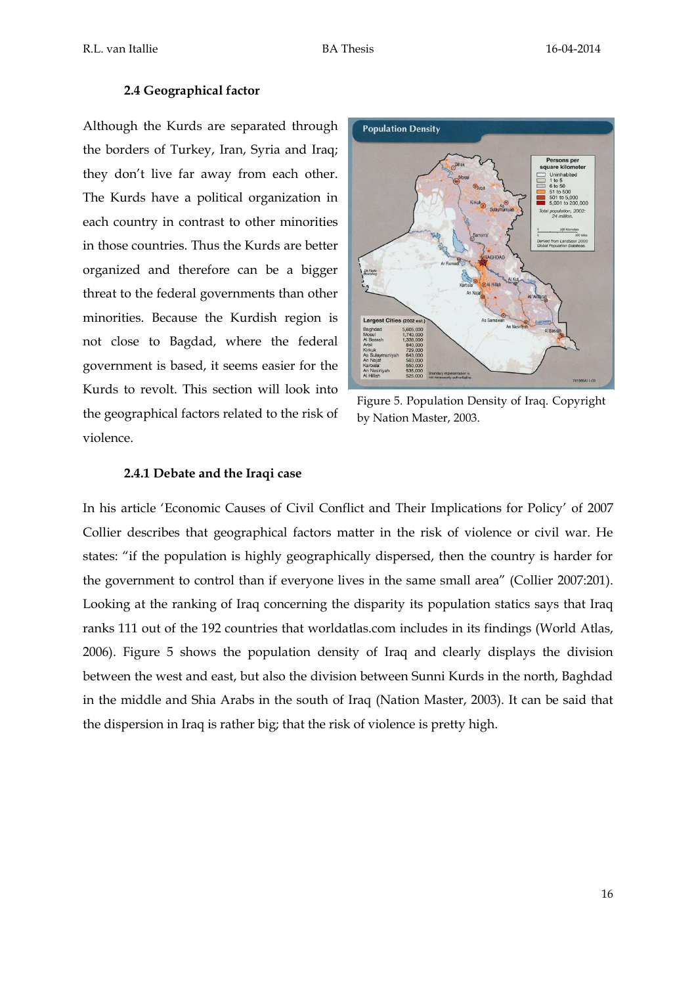## **2.4 Geographical factor**

Although the Kurds are separated through the borders of Turkey, Iran, Syria and Iraq; they don't live far away from each other. The Kurds have a political organization in each country in contrast to other minorities in those countries. Thus the Kurds are better organized and therefore can be a bigger threat to the federal governments than other minorities. Because the Kurdish region is not close to Bagdad, where the federal government is based, it seems easier for the Kurds to revolt. This section will look into the geographical factors related to the risk of violence.



Figure 5. Population Density of Iraq. Copyright by Nation Master, 2003.

## **2.4.1 Debate and the Iraqi case**

In his article 'Economic Causes of Civil Conflict and Their Implications for Policy' of 2007 Collier describes that geographical factors matter in the risk of violence or civil war. He states: "if the population is highly geographically dispersed, then the country is harder for the government to control than if everyone lives in the same small area" (Collier 2007:201). Looking at the ranking of Iraq concerning the disparity its population statics says that Iraq ranks 111 out of the 192 countries that worldatlas.com includes in its findings (World Atlas, 2006). Figure 5 shows the population density of Iraq and clearly displays the division between the west and east, but also the division between Sunni Kurds in the north, Baghdad in the middle and Shia Arabs in the south of Iraq (Nation Master, 2003). It can be said that the dispersion in Iraq is rather big; that the risk of violence is pretty high.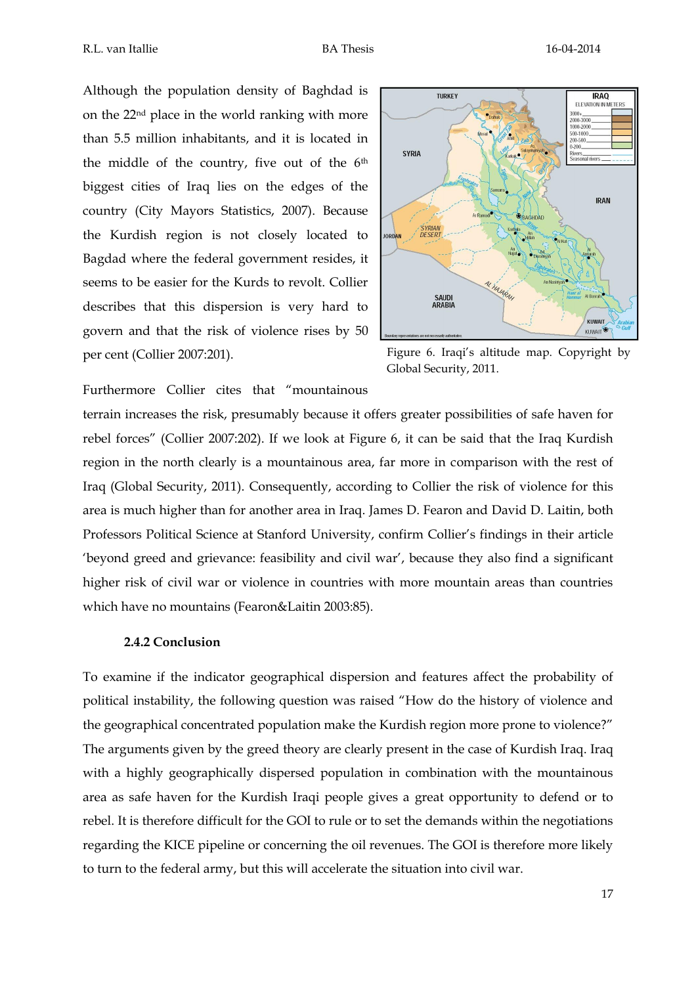Although the population density of Baghdad is on the 22nd place in the world ranking with more than 5.5 million inhabitants, and it is located in the middle of the country, five out of the 6th biggest cities of Iraq lies on the edges of the country (City Mayors Statistics, 2007). Because the Kurdish region is not closely located to Bagdad where the federal government resides, it seems to be easier for the Kurds to revolt. Collier describes that this dispersion is very hard to govern and that the risk of violence rises by 50 per cent (Collier 2007:201).



Figure 6. Iraqi's altitude map. Copyright by Global Security, 2011.

Furthermore Collier cites that "mountainous

terrain increases the risk, presumably because it offers greater possibilities of safe haven for rebel forces" (Collier 2007:202). If we look at Figure 6, it can be said that the Iraq Kurdish region in the north clearly is a mountainous area, far more in comparison with the rest of Iraq (Global Security, 2011). Consequently, according to Collier the risk of violence for this area is much higher than for another area in Iraq. James D. Fearon and David D. Laitin, both Professors Political Science at Stanford University, confirm Collier's findings in their article 'beyond greed and grievance: feasibility and civil war', because they also find a significant higher risk of civil war or violence in countries with more mountain areas than countries which have no mountains (Fearon&Laitin 2003:85).

#### **2.4.2 Conclusion**

To examine if the indicator geographical dispersion and features affect the probability of political instability, the following question was raised "How do the history of violence and the geographical concentrated population make the Kurdish region more prone to violence?" The arguments given by the greed theory are clearly present in the case of Kurdish Iraq. Iraq with a highly geographically dispersed population in combination with the mountainous area as safe haven for the Kurdish Iraqi people gives a great opportunity to defend or to rebel. It is therefore difficult for the GOI to rule or to set the demands within the negotiations regarding the KICE pipeline or concerning the oil revenues. The GOI is therefore more likely to turn to the federal army, but this will accelerate the situation into civil war.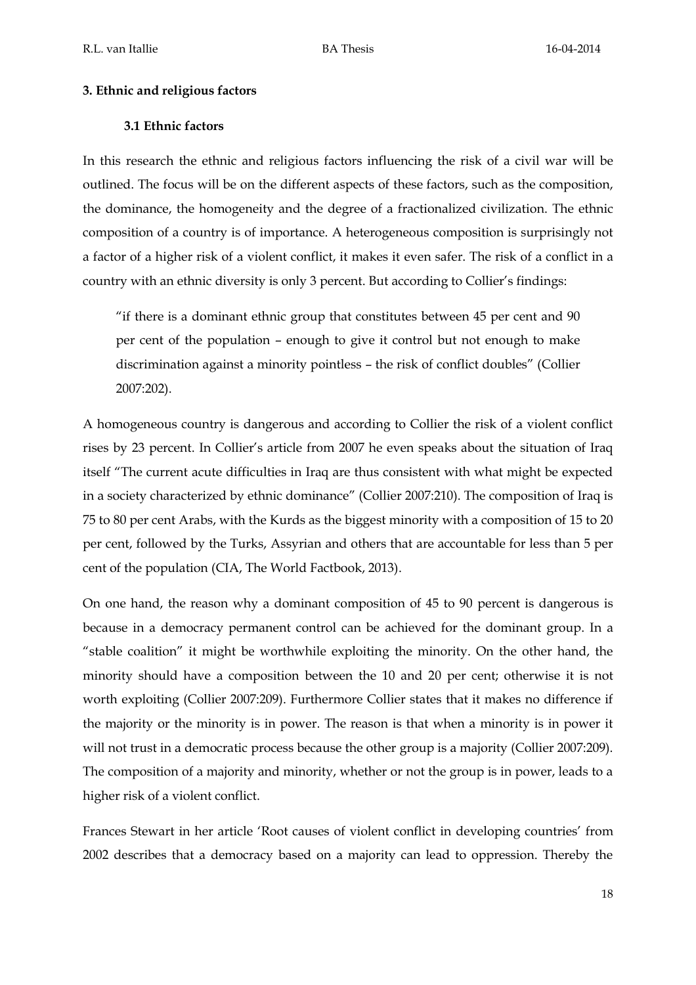## **3. Ethnic and religious factors**

## **3.1 Ethnic factors**

In this research the ethnic and religious factors influencing the risk of a civil war will be outlined. The focus will be on the different aspects of these factors, such as the composition, the dominance, the homogeneity and the degree of a fractionalized civilization. The ethnic composition of a country is of importance. A heterogeneous composition is surprisingly not a factor of a higher risk of a violent conflict, it makes it even safer. The risk of a conflict in a country with an ethnic diversity is only 3 percent. But according to Collier's findings:

"if there is a dominant ethnic group that constitutes between 45 per cent and 90 per cent of the population – enough to give it control but not enough to make discrimination against a minority pointless – the risk of conflict doubles" (Collier 2007:202).

A homogeneous country is dangerous and according to Collier the risk of a violent conflict rises by 23 percent. In Collier's article from 2007 he even speaks about the situation of Iraq itself "The current acute difficulties in Iraq are thus consistent with what might be expected in a society characterized by ethnic dominance" (Collier 2007:210). The composition of Iraq is 75 to 80 per cent Arabs, with the Kurds as the biggest minority with a composition of 15 to 20 per cent, followed by the Turks, Assyrian and others that are accountable for less than 5 per cent of the population (CIA, The World Factbook, 2013).

On one hand, the reason why a dominant composition of 45 to 90 percent is dangerous is because in a democracy permanent control can be achieved for the dominant group. In a "stable coalition" it might be worthwhile exploiting the minority. On the other hand, the minority should have a composition between the 10 and 20 per cent; otherwise it is not worth exploiting (Collier 2007:209). Furthermore Collier states that it makes no difference if the majority or the minority is in power. The reason is that when a minority is in power it will not trust in a democratic process because the other group is a majority (Collier 2007:209). The composition of a majority and minority, whether or not the group is in power, leads to a higher risk of a violent conflict.

Frances Stewart in her article 'Root causes of violent conflict in developing countries' from 2002 describes that a democracy based on a majority can lead to oppression. Thereby the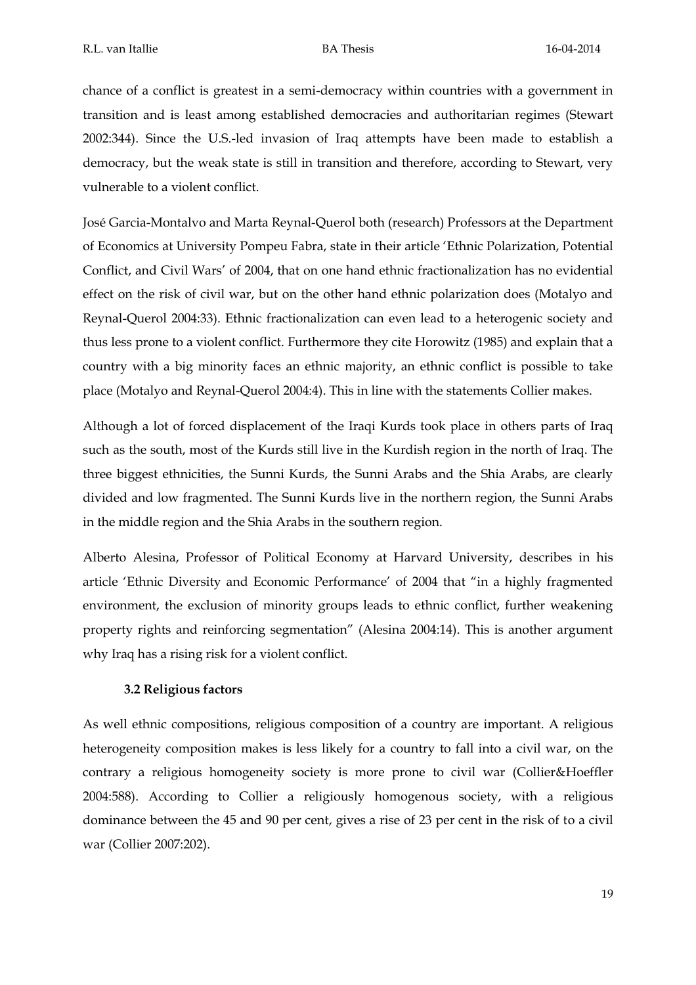chance of a conflict is greatest in a semi-democracy within countries with a government in transition and is least among established democracies and authoritarian regimes (Stewart 2002:344). Since the U.S.-led invasion of Iraq attempts have been made to establish a democracy, but the weak state is still in transition and therefore, according to Stewart, very vulnerable to a violent conflict.

José Garcia-Montalvo and Marta Reynal-Querol both (research) Professors at the Department of Economics at University Pompeu Fabra, state in their article 'Ethnic Polarization, Potential Conflict, and Civil Wars' of 2004, that on one hand ethnic fractionalization has no evidential effect on the risk of civil war, but on the other hand ethnic polarization does (Motalyo and Reynal-Querol 2004:33). Ethnic fractionalization can even lead to a heterogenic society and thus less prone to a violent conflict. Furthermore they cite Horowitz (1985) and explain that a country with a big minority faces an ethnic majority, an ethnic conflict is possible to take place (Motalyo and Reynal-Querol 2004:4). This in line with the statements Collier makes.

Although a lot of forced displacement of the Iraqi Kurds took place in others parts of Iraq such as the south, most of the Kurds still live in the Kurdish region in the north of Iraq. The three biggest ethnicities, the Sunni Kurds, the Sunni Arabs and the Shia Arabs, are clearly divided and low fragmented. The Sunni Kurds live in the northern region, the Sunni Arabs in the middle region and the Shia Arabs in the southern region.

Alberto Alesina, Professor of Political Economy at Harvard University, describes in his article 'Ethnic Diversity and Economic Performance' of 2004 that "in a highly fragmented environment, the exclusion of minority groups leads to ethnic conflict, further weakening property rights and reinforcing segmentation" (Alesina 2004:14). This is another argument why Iraq has a rising risk for a violent conflict.

# **3.2 Religious factors**

As well ethnic compositions, religious composition of a country are important. A religious heterogeneity composition makes is less likely for a country to fall into a civil war, on the contrary a religious homogeneity society is more prone to civil war (Collier&Hoeffler 2004:588). According to Collier a religiously homogenous society, with a religious dominance between the 45 and 90 per cent, gives a rise of 23 per cent in the risk of to a civil war (Collier 2007:202).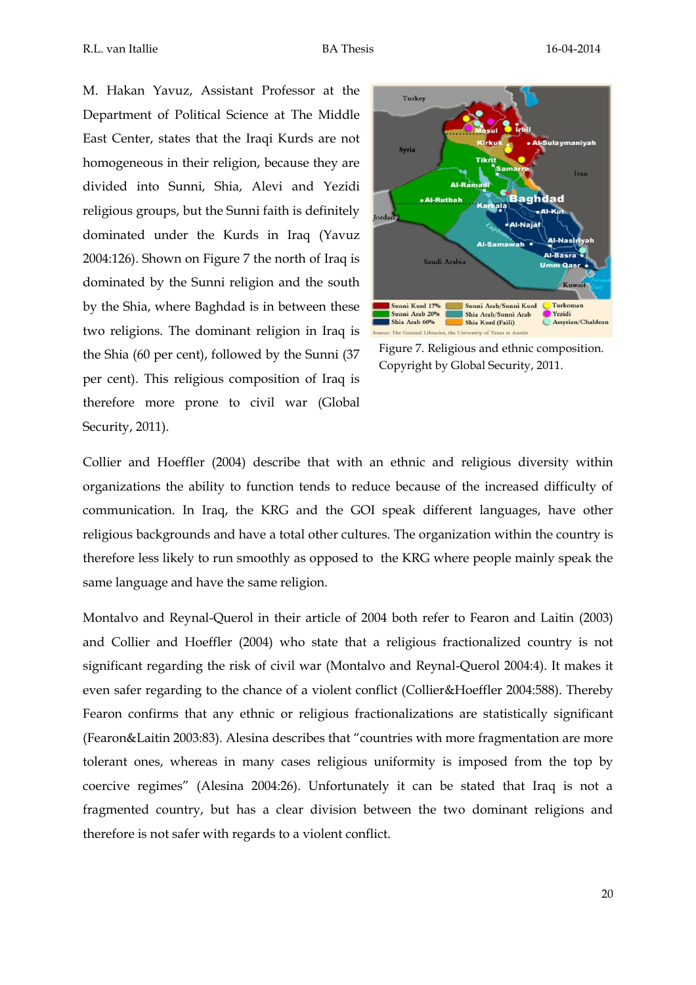M. Hakan Yavuz, Assistant Professor at the Department of Political Science at The Middle East Center, states that the Iraqi Kurds are not homogeneous in their religion, because they are divided into Sunni, Shia, Alevi and Yezidi religious groups, but the Sunni faith is definitely dominated under the Kurds in Iraq (Yavuz 2004:126). Shown on Figure 7 the north of Iraq is dominated by the Sunni religion and the south by the Shia, where Baghdad is in between these two religions. The dominant religion in Iraq is the Shia (60 per cent), followed by the Sunni (37 per cent). This religious composition of Iraq is therefore more prone to civil war (Global Security, 2011).



Figure 7. Religious and ethnic composition. Copyright by Global Security, 2011.

Collier and Hoeffler (2004) describe that with an ethnic and religious diversity within organizations the ability to function tends to reduce because of the increased difficulty of communication. In Iraq, the KRG and the GOI speak different languages, have other religious backgrounds and have a total other cultures. The organization within the country is therefore less likely to run smoothly as opposed to the KRG where people mainly speak the same language and have the same religion.

Montalvo and Reynal-Querol in their article of 2004 both refer to Fearon and Laitin (2003) and Collier and Hoeffler (2004) who state that a religious fractionalized country is not significant regarding the risk of civil war (Montalvo and Reynal-Querol 2004:4). It makes it even safer regarding to the chance of a violent conflict (Collier&Hoeffler 2004:588). Thereby Fearon confirms that any ethnic or religious fractionalizations are statistically significant (Fearon&Laitin 2003:83). Alesina describes that "countries with more fragmentation are more tolerant ones, whereas in many cases religious uniformity is imposed from the top by coercive regimes" (Alesina 2004:26). Unfortunately it can be stated that Iraq is not a fragmented country, but has a clear division between the two dominant religions and therefore is not safer with regards to a violent conflict.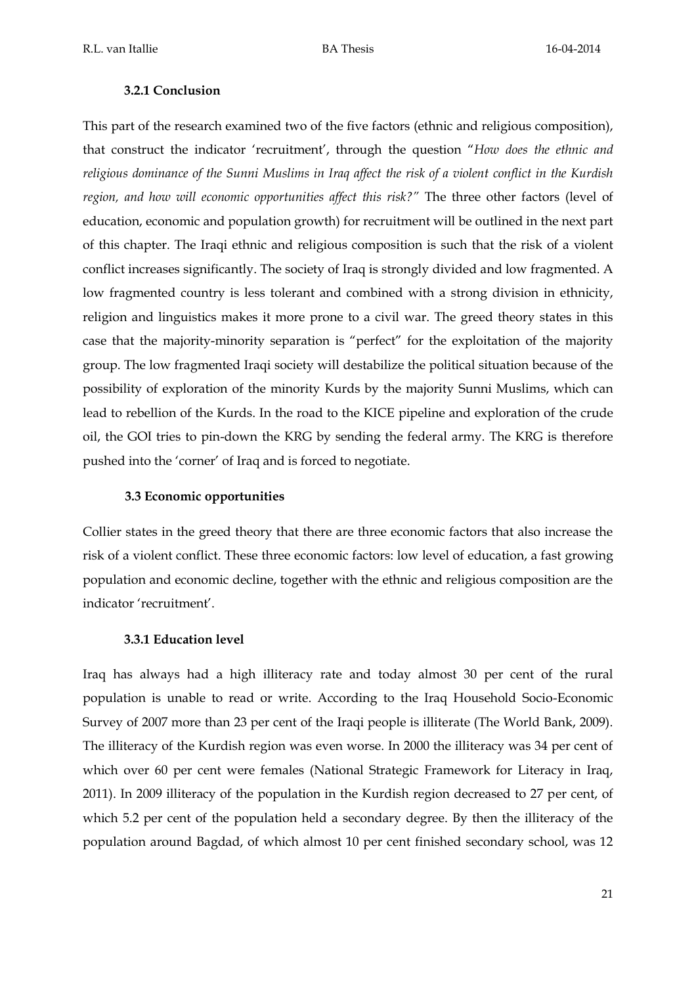## **3.2.1 Conclusion**

This part of the research examined two of the five factors (ethnic and religious composition), that construct the indicator 'recruitment', through the question "*How does the ethnic and religious dominance of the Sunni Muslims in Iraq affect the risk of a violent conflict in the Kurdish region, and how will economic opportunities affect this risk?"* The three other factors (level of education, economic and population growth) for recruitment will be outlined in the next part of this chapter. The Iraqi ethnic and religious composition is such that the risk of a violent conflict increases significantly. The society of Iraq is strongly divided and low fragmented. A low fragmented country is less tolerant and combined with a strong division in ethnicity, religion and linguistics makes it more prone to a civil war. The greed theory states in this case that the majority-minority separation is "perfect" for the exploitation of the majority group. The low fragmented Iraqi society will destabilize the political situation because of the possibility of exploration of the minority Kurds by the majority Sunni Muslims, which can lead to rebellion of the Kurds. In the road to the KICE pipeline and exploration of the crude oil, the GOI tries to pin-down the KRG by sending the federal army. The KRG is therefore pushed into the 'corner' of Iraq and is forced to negotiate.

## **3.3 Economic opportunities**

Collier states in the greed theory that there are three economic factors that also increase the risk of a violent conflict. These three economic factors: low level of education, a fast growing population and economic decline, together with the ethnic and religious composition are the indicator 'recruitment'.

#### **3.3.1 Education level**

Iraq has always had a high illiteracy rate and today almost 30 per cent of the rural population is unable to read or write. According to the Iraq Household Socio-Economic Survey of 2007 more than 23 per cent of the Iraqi people is illiterate (The World Bank, 2009). The illiteracy of the Kurdish region was even worse. In 2000 the illiteracy was 34 per cent of which over 60 per cent were females (National Strategic Framework for Literacy in Iraq, 2011). In 2009 illiteracy of the population in the Kurdish region decreased to 27 per cent, of which 5.2 per cent of the population held a secondary degree. By then the illiteracy of the population around Bagdad, of which almost 10 per cent finished secondary school, was 12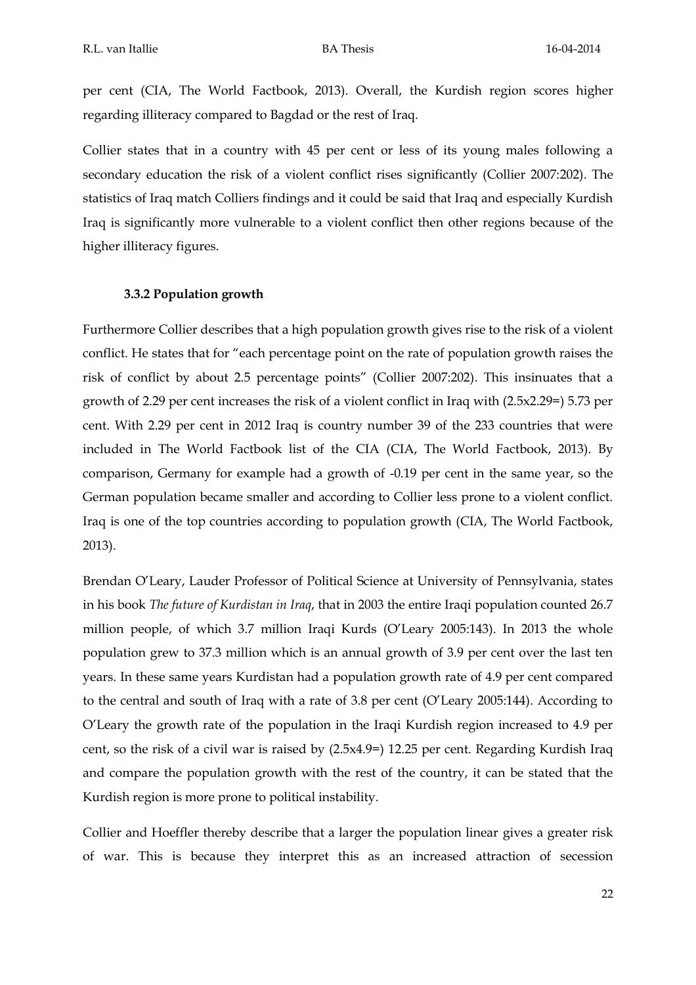per cent (CIA, The World Factbook, 2013). Overall, the Kurdish region scores higher regarding illiteracy compared to Bagdad or the rest of Iraq.

Collier states that in a country with 45 per cent or less of its young males following a secondary education the risk of a violent conflict rises significantly (Collier 2007:202). The statistics of Iraq match Colliers findings and it could be said that Iraq and especially Kurdish Iraq is significantly more vulnerable to a violent conflict then other regions because of the higher illiteracy figures.

#### **3.3.2 Population growth**

Furthermore Collier describes that a high population growth gives rise to the risk of a violent conflict. He states that for "each percentage point on the rate of population growth raises the risk of conflict by about 2.5 percentage points" (Collier 2007:202). This insinuates that a growth of 2.29 per cent increases the risk of a violent conflict in Iraq with (2.5x2.29=) 5.73 per cent. With 2.29 per cent in 2012 Iraq is country number 39 of the 233 countries that were included in The World Factbook list of the CIA (CIA, The World Factbook, 2013). By comparison, Germany for example had a growth of -0.19 per cent in the same year, so the German population became smaller and according to Collier less prone to a violent conflict. Iraq is one of the top countries according to population growth (CIA, The World Factbook, 2013).

Brendan O'Leary, Lauder Professor of Political Science at University of Pennsylvania, states in his book *The future of Kurdistan in Iraq*, that in 2003 the entire Iraqi population counted 26.7 million people, of which 3.7 million Iraqi Kurds (O'Leary 2005:143). In 2013 the whole population grew to 37.3 million which is an annual growth of 3.9 per cent over the last ten years. In these same years Kurdistan had a population growth rate of 4.9 per cent compared to the central and south of Iraq with a rate of 3.8 per cent (O'Leary 2005:144). According to O'Leary the growth rate of the population in the Iraqi Kurdish region increased to 4.9 per cent, so the risk of a civil war is raised by (2.5x4.9=) 12.25 per cent. Regarding Kurdish Iraq and compare the population growth with the rest of the country, it can be stated that the Kurdish region is more prone to political instability.

Collier and Hoeffler thereby describe that a larger the population linear gives a greater risk of war. This is because they interpret this as an increased attraction of secession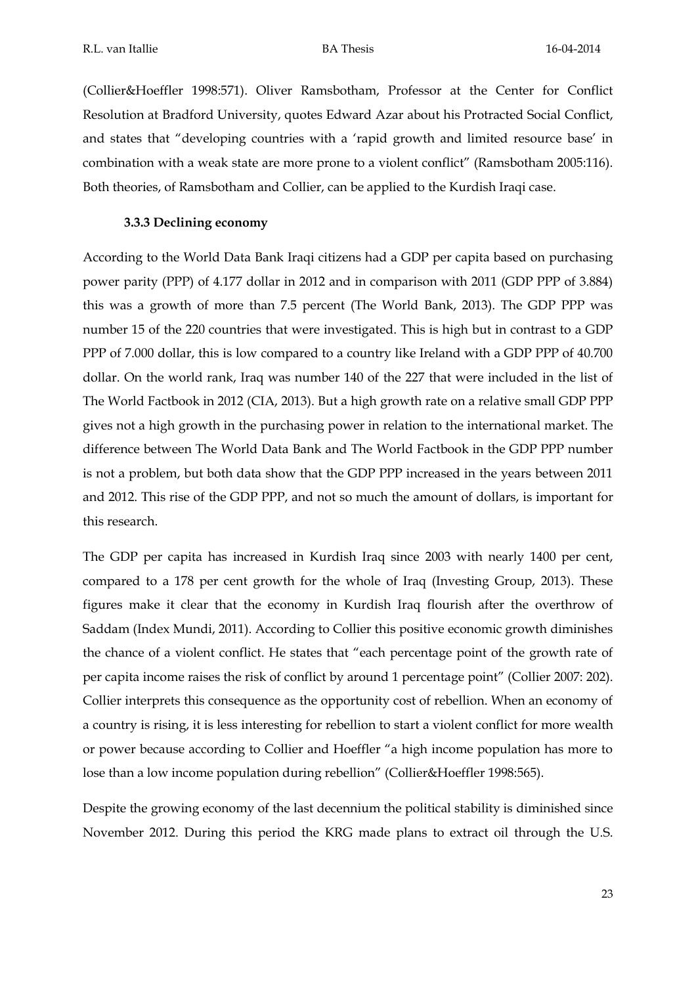(Collier&Hoeffler 1998:571). Oliver Ramsbotham, Professor at the Center for Conflict Resolution at Bradford University, quotes Edward Azar about his Protracted Social Conflict, and states that "developing countries with a 'rapid growth and limited resource base' in combination with a weak state are more prone to a violent conflict" (Ramsbotham 2005:116). Both theories, of Ramsbotham and Collier, can be applied to the Kurdish Iraqi case.

## **3.3.3 Declining economy**

According to the World Data Bank Iraqi citizens had a GDP per capita based on purchasing power parity (PPP) of 4.177 dollar in 2012 and in comparison with 2011 (GDP PPP of 3.884) this was a growth of more than 7.5 percent (The World Bank, 2013). The GDP PPP was number 15 of the 220 countries that were investigated. This is high but in contrast to a GDP PPP of 7.000 dollar, this is low compared to a country like Ireland with a GDP PPP of 40.700 dollar. On the world rank, Iraq was number 140 of the 227 that were included in the list of The World Factbook in 2012 (CIA, 2013). But a high growth rate on a relative small GDP PPP gives not a high growth in the purchasing power in relation to the international market. The difference between The World Data Bank and The World Factbook in the GDP PPP number is not a problem, but both data show that the GDP PPP increased in the years between 2011 and 2012. This rise of the GDP PPP, and not so much the amount of dollars, is important for this research.

The GDP per capita has increased in Kurdish Iraq since 2003 with nearly 1400 per cent, compared to a 178 per cent growth for the whole of Iraq (Investing Group, 2013). These figures make it clear that the economy in Kurdish Iraq flourish after the overthrow of Saddam (Index Mundi, 2011). According to Collier this positive economic growth diminishes the chance of a violent conflict. He states that "each percentage point of the growth rate of per capita income raises the risk of conflict by around 1 percentage point" (Collier 2007: 202). Collier interprets this consequence as the opportunity cost of rebellion. When an economy of a country is rising, it is less interesting for rebellion to start a violent conflict for more wealth or power because according to Collier and Hoeffler "a high income population has more to lose than a low income population during rebellion" (Collier&Hoeffler 1998:565).

Despite the growing economy of the last decennium the political stability is diminished since November 2012. During this period the KRG made plans to extract oil through the U.S.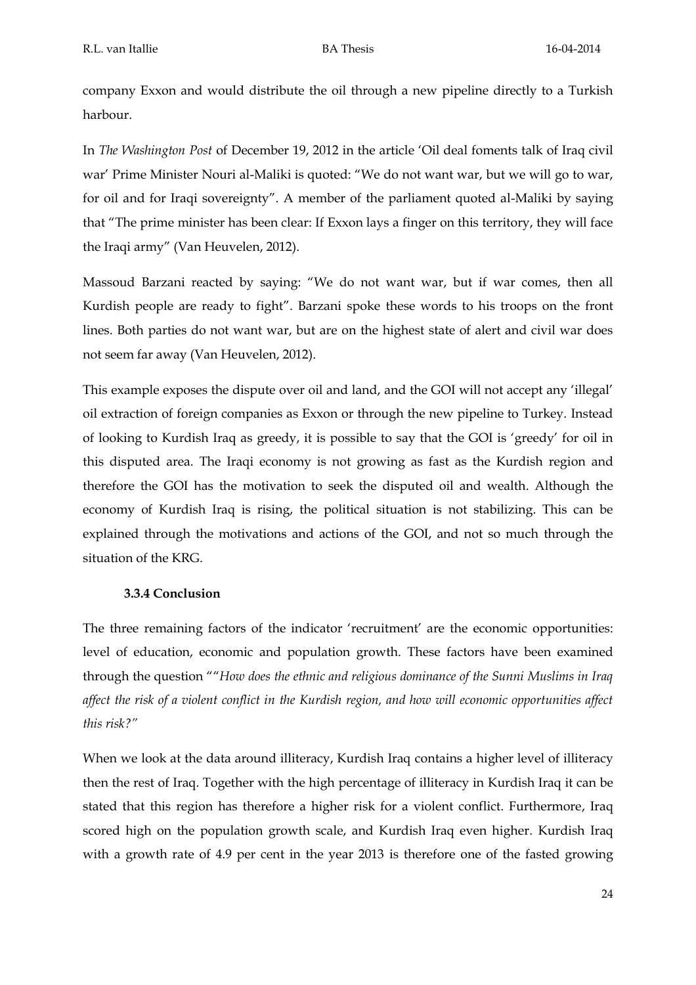company Exxon and would distribute the oil through a new pipeline directly to a Turkish harbour.

In *The Washington Post* of December 19, 2012 in the article 'Oil deal foments talk of Iraq civil war' Prime Minister Nouri al-Maliki is quoted: "We do not want war, but we will go to war, for oil and for Iraqi sovereignty". A member of the parliament quoted al-Maliki by saying that "The prime minister has been clear: If Exxon lays a finger on this territory, they will face the Iraqi army" (Van Heuvelen, 2012).

Massoud Barzani reacted by saying: "We do not want war, but if war comes, then all Kurdish people are ready to fight". Barzani spoke these words to his troops on the front lines. Both parties do not want war, but are on the highest state of alert and civil war does not seem far away (Van Heuvelen, 2012).

This example exposes the dispute over oil and land, and the GOI will not accept any 'illegal' oil extraction of foreign companies as Exxon or through the new pipeline to Turkey. Instead of looking to Kurdish Iraq as greedy, it is possible to say that the GOI is 'greedy' for oil in this disputed area. The Iraqi economy is not growing as fast as the Kurdish region and therefore the GOI has the motivation to seek the disputed oil and wealth. Although the economy of Kurdish Iraq is rising, the political situation is not stabilizing. This can be explained through the motivations and actions of the GOI, and not so much through the situation of the KRG.

## **3.3.4 Conclusion**

The three remaining factors of the indicator 'recruitment' are the economic opportunities: level of education, economic and population growth. These factors have been examined through the question ""*How does the ethnic and religious dominance of the Sunni Muslims in Iraq affect the risk of a violent conflict in the Kurdish region, and how will economic opportunities affect this risk?"*

When we look at the data around illiteracy, Kurdish Iraq contains a higher level of illiteracy then the rest of Iraq. Together with the high percentage of illiteracy in Kurdish Iraq it can be stated that this region has therefore a higher risk for a violent conflict. Furthermore, Iraq scored high on the population growth scale, and Kurdish Iraq even higher. Kurdish Iraq with a growth rate of 4.9 per cent in the year 2013 is therefore one of the fasted growing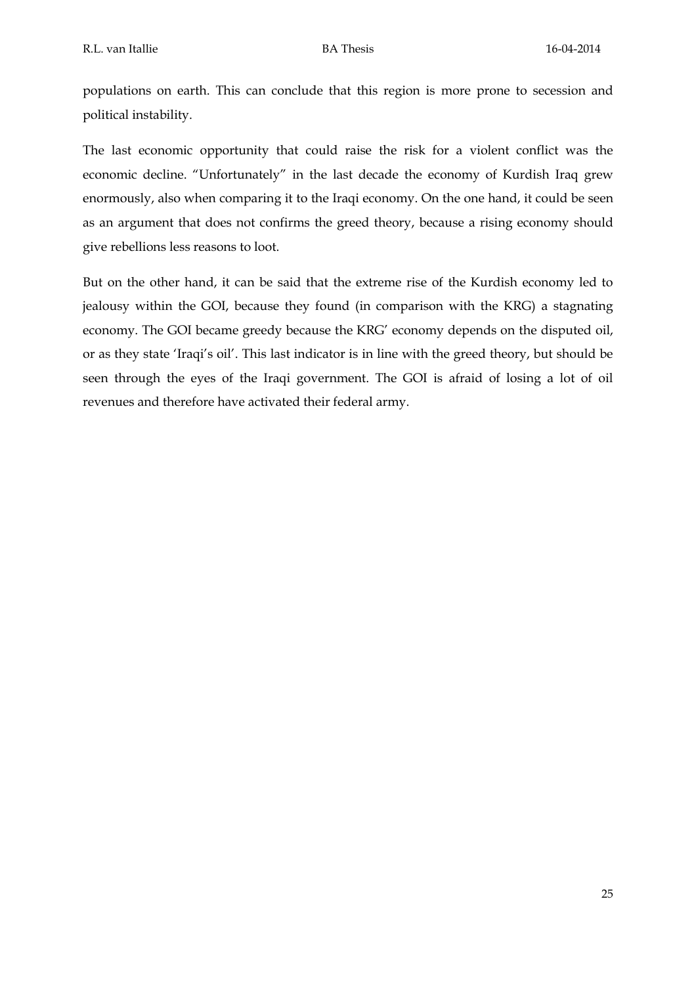populations on earth. This can conclude that this region is more prone to secession and political instability.

The last economic opportunity that could raise the risk for a violent conflict was the economic decline. "Unfortunately" in the last decade the economy of Kurdish Iraq grew enormously, also when comparing it to the Iraqi economy. On the one hand, it could be seen as an argument that does not confirms the greed theory, because a rising economy should give rebellions less reasons to loot.

But on the other hand, it can be said that the extreme rise of the Kurdish economy led to jealousy within the GOI, because they found (in comparison with the KRG) a stagnating economy. The GOI became greedy because the KRG' economy depends on the disputed oil, or as they state 'Iraqi's oil'. This last indicator is in line with the greed theory, but should be seen through the eyes of the Iraqi government. The GOI is afraid of losing a lot of oil revenues and therefore have activated their federal army.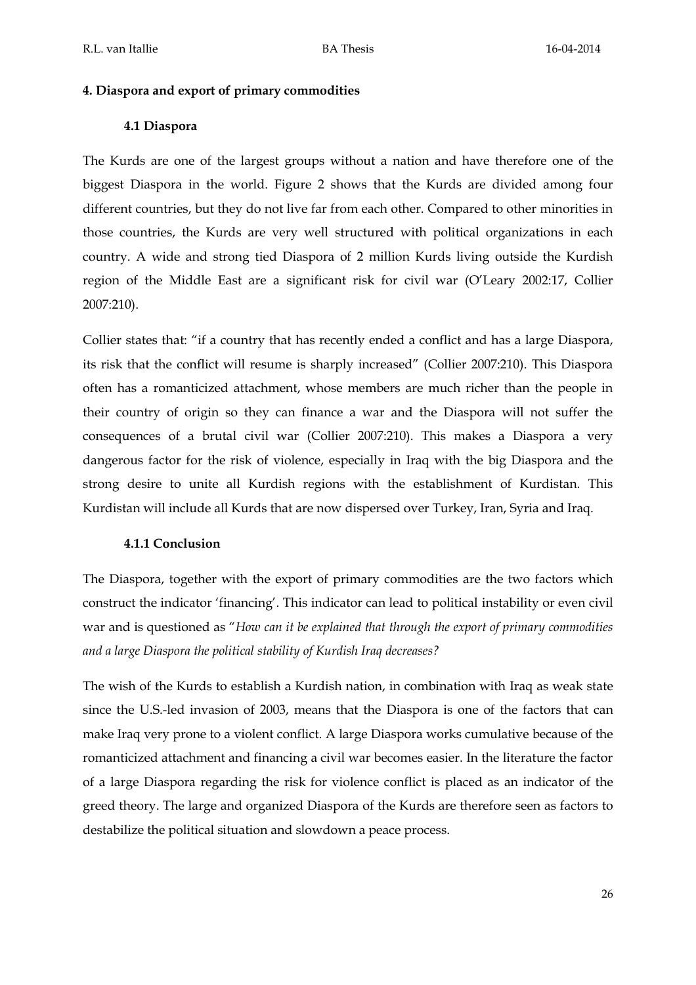## **4. Diaspora and export of primary commodities**

# **4.1 Diaspora**

The Kurds are one of the largest groups without a nation and have therefore one of the biggest Diaspora in the world. Figure 2 shows that the Kurds are divided among four different countries, but they do not live far from each other. Compared to other minorities in those countries, the Kurds are very well structured with political organizations in each country. A wide and strong tied Diaspora of 2 million Kurds living outside the Kurdish region of the Middle East are a significant risk for civil war (O'Leary 2002:17, Collier 2007:210).

Collier states that: "if a country that has recently ended a conflict and has a large Diaspora, its risk that the conflict will resume is sharply increased" (Collier 2007:210). This Diaspora often has a romanticized attachment, whose members are much richer than the people in their country of origin so they can finance a war and the Diaspora will not suffer the consequences of a brutal civil war (Collier 2007:210). This makes a Diaspora a very dangerous factor for the risk of violence, especially in Iraq with the big Diaspora and the strong desire to unite all Kurdish regions with the establishment of Kurdistan. This Kurdistan will include all Kurds that are now dispersed over Turkey, Iran, Syria and Iraq.

## **4.1.1 Conclusion**

The Diaspora, together with the export of primary commodities are the two factors which construct the indicator 'financing'. This indicator can lead to political instability or even civil war and is questioned as "*How can it be explained that through the export of primary commodities and a large Diaspora the political stability of Kurdish Iraq decreases?*

The wish of the Kurds to establish a Kurdish nation, in combination with Iraq as weak state since the U.S.-led invasion of 2003, means that the Diaspora is one of the factors that can make Iraq very prone to a violent conflict. A large Diaspora works cumulative because of the romanticized attachment and financing a civil war becomes easier. In the literature the factor of a large Diaspora regarding the risk for violence conflict is placed as an indicator of the greed theory. The large and organized Diaspora of the Kurds are therefore seen as factors to destabilize the political situation and slowdown a peace process.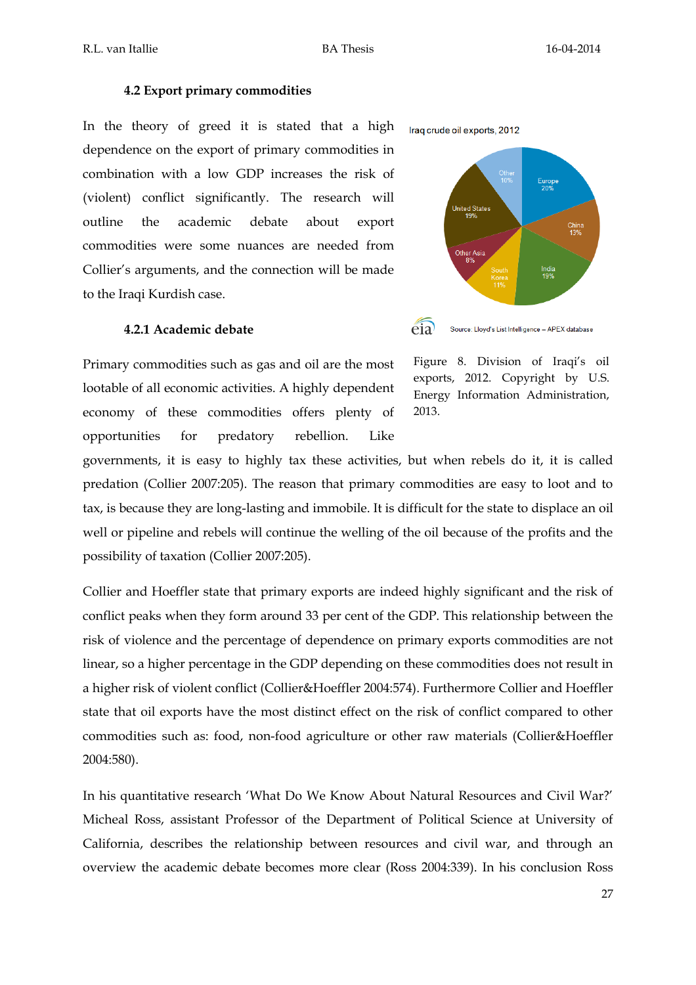#### **4.2 Export primary commodities**

In the theory of greed it is stated that a high dependence on the export of primary commodities in combination with a low GDP increases the risk of (violent) conflict significantly. The research will outline the academic debate about export commodities were some nuances are needed from Collier's arguments, and the connection will be made to the Iraqi Kurdish case.

## **4.2.1 Academic debate**

Primary commodities such as gas and oil are the most lootable of all economic activities. A highly dependent economy of these commodities offers plenty of opportunities for predatory rebellion. Like



 $e$ ia

Figure 8. Division of Iraqi's oil exports, 2012. Copyright by U.S. Energy Information Administration, 2013.

governments, it is easy to highly tax these activities, but when rebels do it, it is called predation (Collier 2007:205). The reason that primary commodities are easy to loot and to tax, is because they are long-lasting and immobile. It is difficult for the state to displace an oil well or pipeline and rebels will continue the welling of the oil because of the profits and the possibility of taxation (Collier 2007:205).

Collier and Hoeffler state that primary exports are indeed highly significant and the risk of conflict peaks when they form around 33 per cent of the GDP. This relationship between the risk of violence and the percentage of dependence on primary exports commodities are not linear, so a higher percentage in the GDP depending on these commodities does not result in a higher risk of violent conflict (Collier&Hoeffler 2004:574). Furthermore Collier and Hoeffler state that oil exports have the most distinct effect on the risk of conflict compared to other commodities such as: food, non-food agriculture or other raw materials (Collier&Hoeffler 2004:580).

In his quantitative research 'What Do We Know About Natural Resources and Civil War?' Micheal Ross, assistant Professor of the Department of Political Science at University of California, describes the relationship between resources and civil war, and through an overview the academic debate becomes more clear (Ross 2004:339). In his conclusion Ross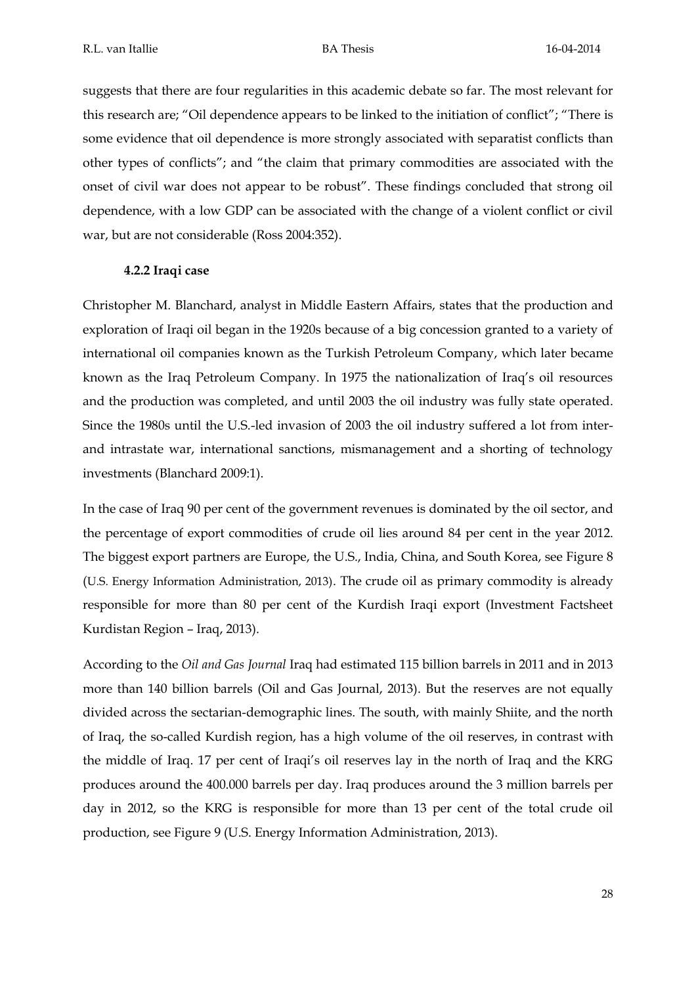suggests that there are four regularities in this academic debate so far. The most relevant for this research are; "Oil dependence appears to be linked to the initiation of conflict"; "There is some evidence that oil dependence is more strongly associated with separatist conflicts than other types of conflicts"; and "the claim that primary commodities are associated with the onset of civil war does not appear to be robust". These findings concluded that strong oil dependence, with a low GDP can be associated with the change of a violent conflict or civil war, but are not considerable (Ross 2004:352).

## **4.2.2 Iraqi case**

Christopher M. Blanchard, analyst in Middle Eastern Affairs, states that the production and exploration of Iraqi oil began in the 1920s because of a big concession granted to a variety of international oil companies known as the Turkish Petroleum Company, which later became known as the Iraq Petroleum Company. In 1975 the nationalization of Iraq's oil resources and the production was completed, and until 2003 the oil industry was fully state operated. Since the 1980s until the U.S.-led invasion of 2003 the oil industry suffered a lot from interand intrastate war, international sanctions, mismanagement and a shorting of technology investments (Blanchard 2009:1).

In the case of Iraq 90 per cent of the government revenues is dominated by the oil sector, and the percentage of export commodities of crude oil lies around 84 per cent in the year 2012. The biggest export partners are Europe, the U.S., India, China, and South Korea, see Figure 8 (U.S. Energy Information Administration, 2013). The crude oil as primary commodity is already responsible for more than 80 per cent of the Kurdish Iraqi export (Investment Factsheet Kurdistan Region – Iraq, 2013).

According to the *Oil and Gas Journal* Iraq had estimated 115 billion barrels in 2011 and in 2013 more than 140 billion barrels (Oil and Gas Journal, 2013). But the reserves are not equally divided across the sectarian-demographic lines. The south, with mainly Shiite, and the north of Iraq, the so-called Kurdish region, has a high volume of the oil reserves, in contrast with the middle of Iraq. 17 per cent of Iraqi's oil reserves lay in the north of Iraq and the KRG produces around the 400.000 barrels per day. Iraq produces around the 3 million barrels per day in 2012, so the KRG is responsible for more than 13 per cent of the total crude oil production, see Figure 9 (U.S. Energy Information Administration, 2013).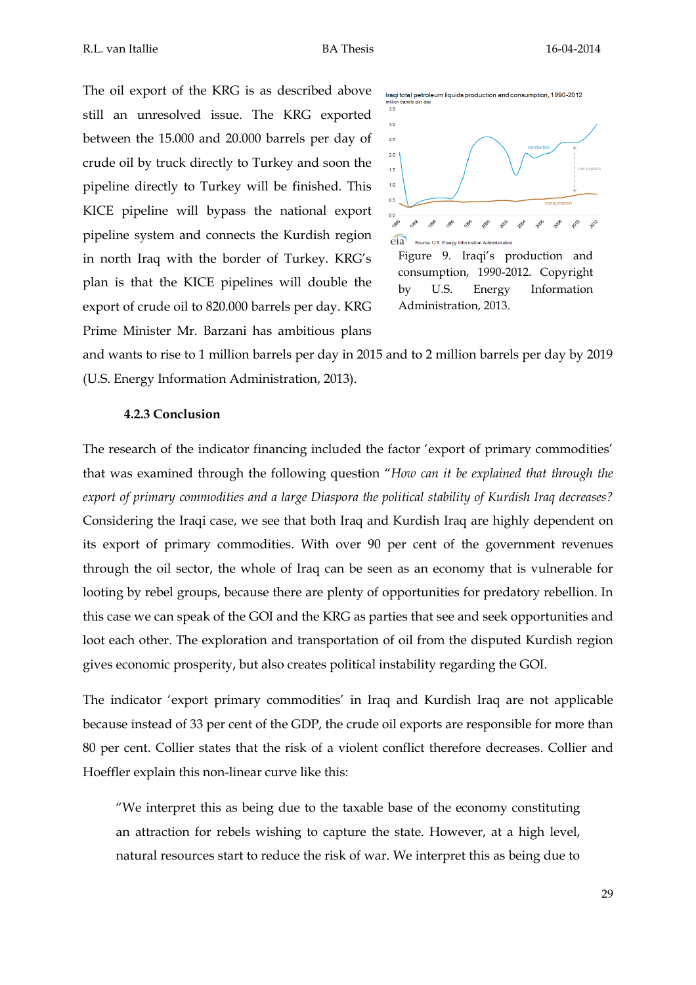The oil export of the KRG is as described above still an unresolved issue. The KRG exported between the 15.000 and 20.000 barrels per day of crude oil by truck directly to Turkey and soon the pipeline directly to Turkey will be finished. This KICE pipeline will bypass the national export pipeline system and connects the Kurdish region in north Iraq with the border of Turkey. KRG's plan is that the KICE pipelines will double the export of crude oil to 820.000 barrels per day. KRG Prime Minister Mr. Barzani has ambitious plans



Figure 9. Iraqi's production and consumption, 1990-2012. Copyright by U.S. Energy Information Administration, 2013.

and wants to rise to 1 million barrels per day in 2015 and to 2 million barrels per day by 2019 (U.S. Energy Information Administration, 2013).

#### **4.2.3 Conclusion**

The research of the indicator financing included the factor 'export of primary commodities' that was examined through the following question "*How can it be explained that through the export of primary commodities and a large Diaspora the political stability of Kurdish Iraq decreases?*  Considering the Iraqi case, we see that both Iraq and Kurdish Iraq are highly dependent on its export of primary commodities. With over 90 per cent of the government revenues through the oil sector, the whole of Iraq can be seen as an economy that is vulnerable for looting by rebel groups, because there are plenty of opportunities for predatory rebellion. In this case we can speak of the GOI and the KRG as parties that see and seek opportunities and loot each other. The exploration and transportation of oil from the disputed Kurdish region gives economic prosperity, but also creates political instability regarding the GOI.

The indicator 'export primary commodities' in Iraq and Kurdish Iraq are not applicable because instead of 33 per cent of the GDP, the crude oil exports are responsible for more than 80 per cent. Collier states that the risk of a violent conflict therefore decreases. Collier and Hoeffler explain this non-linear curve like this:

"We interpret this as being due to the taxable base of the economy constituting an attraction for rebels wishing to capture the state. However, at a high level, natural resources start to reduce the risk of war. We interpret this as being due to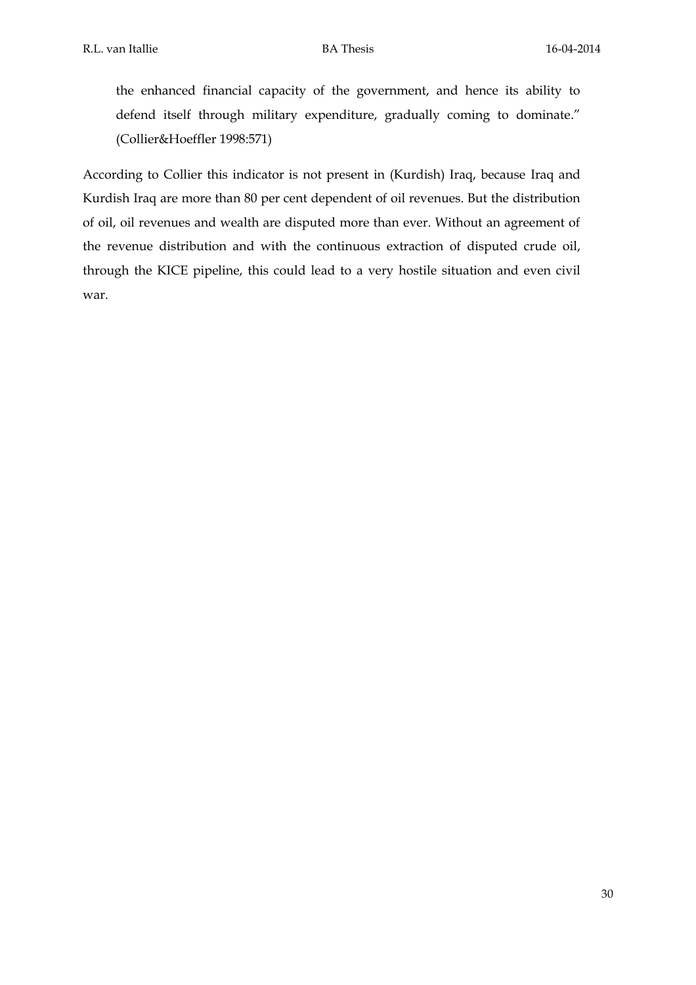the enhanced financial capacity of the government, and hence its ability to defend itself through military expenditure, gradually coming to dominate." (Collier&Hoeffler 1998:571)

According to Collier this indicator is not present in (Kurdish) Iraq, because Iraq and Kurdish Iraq are more than 80 per cent dependent of oil revenues. But the distribution of oil, oil revenues and wealth are disputed more than ever. Without an agreement of the revenue distribution and with the continuous extraction of disputed crude oil, through the KICE pipeline, this could lead to a very hostile situation and even civil war.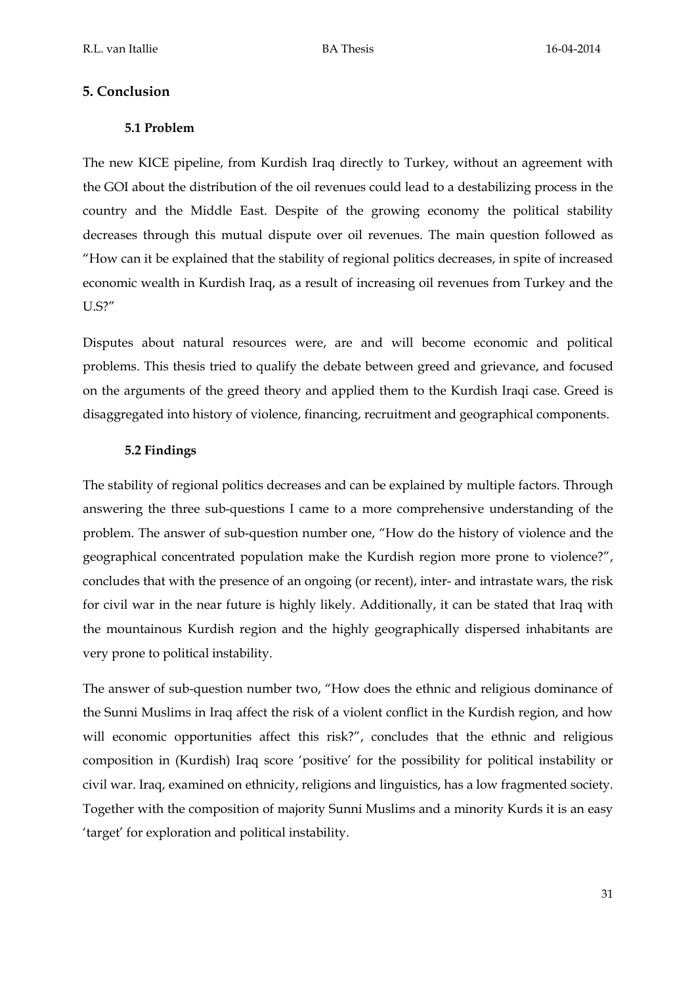# **5. Conclusion**

# **5.1 Problem**

The new KICE pipeline, from Kurdish Iraq directly to Turkey, without an agreement with the GOI about the distribution of the oil revenues could lead to a destabilizing process in the country and the Middle East. Despite of the growing economy the political stability decreases through this mutual dispute over oil revenues. The main question followed as "How can it be explained that the stability of regional politics decreases, in spite of increased economic wealth in Kurdish Iraq, as a result of increasing oil revenues from Turkey and the U.S?"

Disputes about natural resources were, are and will become economic and political problems. This thesis tried to qualify the debate between greed and grievance, and focused on the arguments of the greed theory and applied them to the Kurdish Iraqi case. Greed is disaggregated into history of violence, financing, recruitment and geographical components.

# **5.2 Findings**

The stability of regional politics decreases and can be explained by multiple factors. Through answering the three sub-questions I came to a more comprehensive understanding of the problem. The answer of sub-question number one, "How do the history of violence and the geographical concentrated population make the Kurdish region more prone to violence?", concludes that with the presence of an ongoing (or recent), inter- and intrastate wars, the risk for civil war in the near future is highly likely. Additionally, it can be stated that Iraq with the mountainous Kurdish region and the highly geographically dispersed inhabitants are very prone to political instability.

The answer of sub-question number two, "How does the ethnic and religious dominance of the Sunni Muslims in Iraq affect the risk of a violent conflict in the Kurdish region, and how will economic opportunities affect this risk?", concludes that the ethnic and religious composition in (Kurdish) Iraq score 'positive' for the possibility for political instability or civil war. Iraq, examined on ethnicity, religions and linguistics, has a low fragmented society. Together with the composition of majority Sunni Muslims and a minority Kurds it is an easy 'target' for exploration and political instability.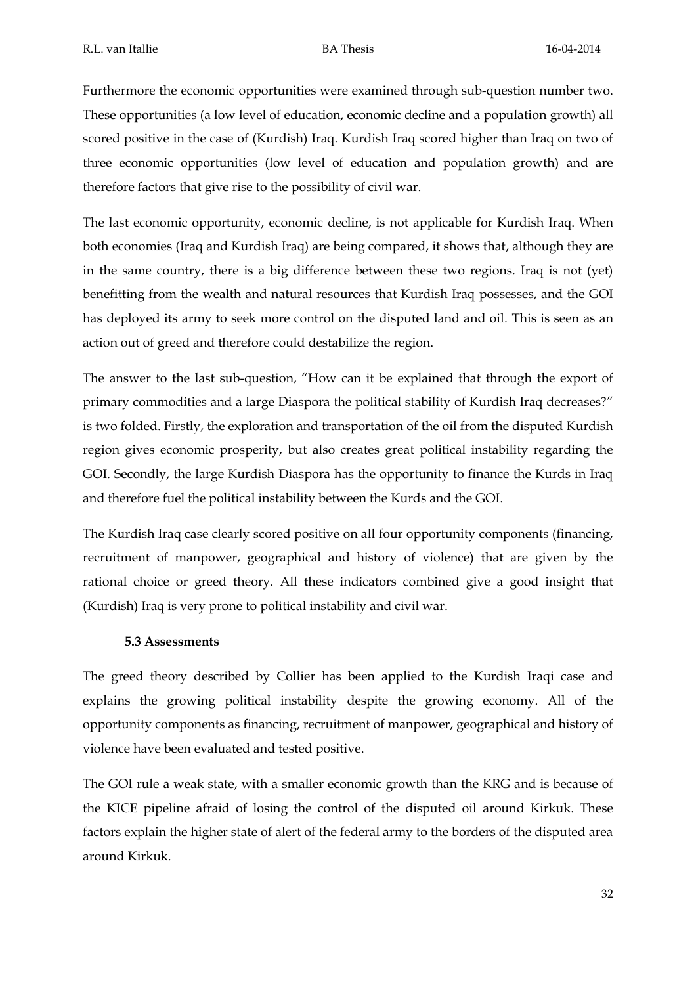Furthermore the economic opportunities were examined through sub-question number two. These opportunities (a low level of education, economic decline and a population growth) all scored positive in the case of (Kurdish) Iraq. Kurdish Iraq scored higher than Iraq on two of three economic opportunities (low level of education and population growth) and are therefore factors that give rise to the possibility of civil war.

The last economic opportunity, economic decline, is not applicable for Kurdish Iraq. When both economies (Iraq and Kurdish Iraq) are being compared, it shows that, although they are in the same country, there is a big difference between these two regions. Iraq is not (yet) benefitting from the wealth and natural resources that Kurdish Iraq possesses, and the GOI has deployed its army to seek more control on the disputed land and oil. This is seen as an action out of greed and therefore could destabilize the region.

The answer to the last sub-question, "How can it be explained that through the export of primary commodities and a large Diaspora the political stability of Kurdish Iraq decreases?" is two folded. Firstly, the exploration and transportation of the oil from the disputed Kurdish region gives economic prosperity, but also creates great political instability regarding the GOI. Secondly, the large Kurdish Diaspora has the opportunity to finance the Kurds in Iraq and therefore fuel the political instability between the Kurds and the GOI.

The Kurdish Iraq case clearly scored positive on all four opportunity components (financing, recruitment of manpower, geographical and history of violence) that are given by the rational choice or greed theory. All these indicators combined give a good insight that (Kurdish) Iraq is very prone to political instability and civil war.

# **5.3 Assessments**

The greed theory described by Collier has been applied to the Kurdish Iraqi case and explains the growing political instability despite the growing economy. All of the opportunity components as financing, recruitment of manpower, geographical and history of violence have been evaluated and tested positive.

The GOI rule a weak state, with a smaller economic growth than the KRG and is because of the KICE pipeline afraid of losing the control of the disputed oil around Kirkuk. These factors explain the higher state of alert of the federal army to the borders of the disputed area around Kirkuk.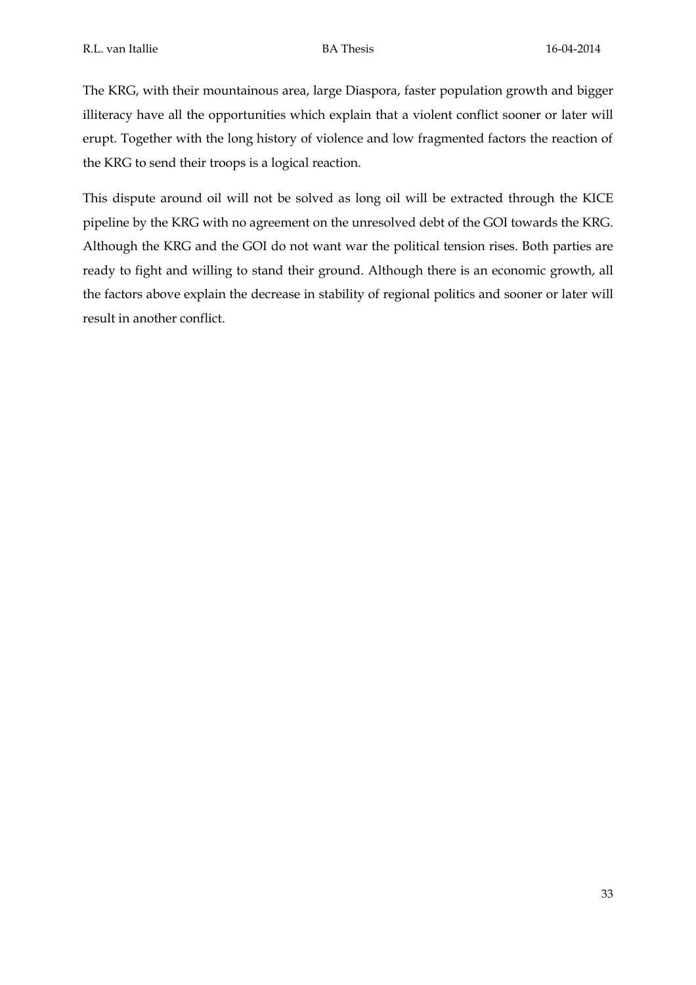The KRG, with their mountainous area, large Diaspora, faster population growth and bigger illiteracy have all the opportunities which explain that a violent conflict sooner or later will erupt. Together with the long history of violence and low fragmented factors the reaction of the KRG to send their troops is a logical reaction.

This dispute around oil will not be solved as long oil will be extracted through the KICE pipeline by the KRG with no agreement on the unresolved debt of the GOI towards the KRG. Although the KRG and the GOI do not want war the political tension rises. Both parties are ready to fight and willing to stand their ground. Although there is an economic growth, all the factors above explain the decrease in stability of regional politics and sooner or later will result in another conflict.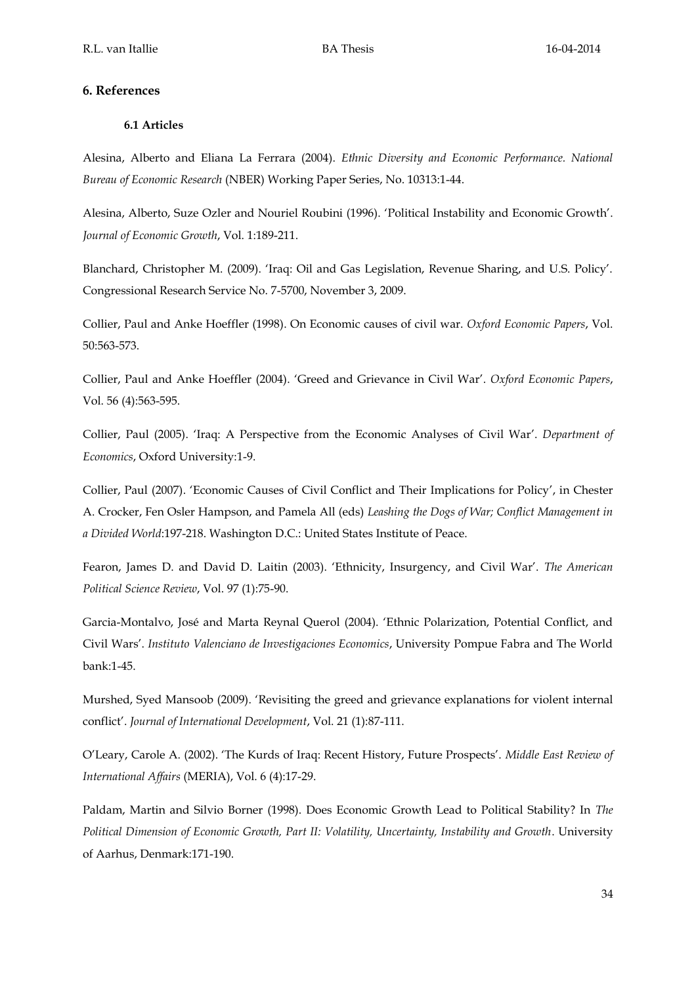## **6. References**

## **6.1 Articles**

Alesina, Alberto and Eliana La Ferrara (2004). *Ethnic Diversity and Economic Performance. National Bureau of Economic Research* (NBER) Working Paper Series, No. 10313:1-44.

Alesina, Alberto, Suze Ozler and Nouriel Roubini (1996). 'Political Instability and Economic Growth'. *Journal of Economic Growth*, Vol. 1:189-211.

Blanchard, Christopher M. (2009). 'Iraq: Oil and Gas Legislation, Revenue Sharing, and U.S. Policy'. Congressional Research Service No. 7-5700, November 3, 2009.

Collier, Paul and Anke Hoeffler (1998). On Economic causes of civil war. *Oxford Economic Papers*, Vol. 50:563-573.

Collier, Paul and Anke Hoeffler (2004). 'Greed and Grievance in Civil War'. *Oxford Economic Papers*, Vol. 56 (4):563-595.

Collier, Paul (2005). 'Iraq: A Perspective from the Economic Analyses of Civil War'. *Department of Economics*, Oxford University:1-9.

Collier, Paul (2007). 'Economic Causes of Civil Conflict and Their Implications for Policy', in Chester A. Crocker, Fen Osler Hampson, and Pamela All (eds) *Leashing the Dogs of War; Conflict Management in a Divided World*:197-218. Washington D.C.: United States Institute of Peace.

Fearon, James D. and David D. Laitin (2003). 'Ethnicity, Insurgency, and Civil War'. *The American Political Science Review*, Vol. 97 (1):75-90.

Garcia-Montalvo, José and Marta Reynal Querol (2004). 'Ethnic Polarization, Potential Conflict, and Civil Wars'. *Instituto Valenciano de Investigaciones Economics*, University Pompue Fabra and The World bank:1-45.

Murshed, Syed Mansoob (2009). 'Revisiting the greed and grievance explanations for violent internal conflict'. *Journal of International Development*, Vol. 21 (1):87-111.

O'Leary, Carole A. (2002). 'The Kurds of Iraq: Recent History, Future Prospects'. *Middle East Review of International Affairs* (MERIA), Vol. 6 (4):17-29.

Paldam, Martin and Silvio Borner (1998). Does Economic Growth Lead to Political Stability? In *The Political Dimension of Economic Growth, Part II: Volatility, Uncertainty, Instability and Growth*. University of Aarhus, Denmark:171-190.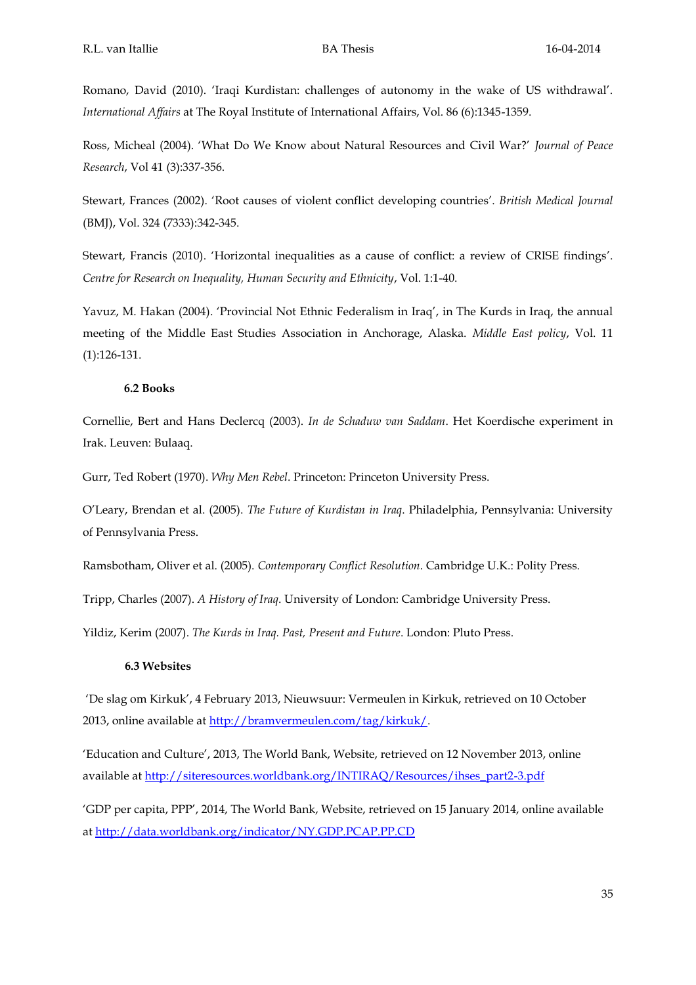Romano, David (2010). 'Iraqi Kurdistan: challenges of autonomy in the wake of US withdrawal'. *International Affairs* at The Royal Institute of International Affairs, Vol. 86 (6):1345-1359.

Ross, Micheal (2004). 'What Do We Know about Natural Resources and Civil War?' *Journal of Peace Research*, Vol 41 (3):337-356.

Stewart, Frances (2002). 'Root causes of violent conflict developing countries'. *British Medical Journal* (BMJ), Vol. 324 (7333):342-345.

Stewart, Francis (2010). 'Horizontal inequalities as a cause of conflict: a review of CRISE findings'. *Centre for Research on Inequality, Human Security and Ethnicity*, Vol. 1:1-40.

Yavuz, M. Hakan (2004). 'Provincial Not Ethnic Federalism in Iraq', in The Kurds in Iraq, the annual meeting of the Middle East Studies Association in Anchorage, Alaska. *Middle East policy*, Vol. 11 (1):126-131.

#### **6.2 Books**

Cornellie, Bert and Hans Declercq (2003). *In de Schaduw van Saddam*. Het Koerdische experiment in Irak. Leuven: Bulaaq.

Gurr, Ted Robert (1970). *Why Men Rebel*. Princeton: Princeton University Press.

O'Leary, Brendan et al. (2005). *The Future of Kurdistan in Iraq*. Philadelphia, Pennsylvania: University of Pennsylvania Press.

Ramsbotham, Oliver et al. (2005). *Contemporary Conflict Resolution*. Cambridge U.K.: Polity Press.

Tripp, Charles (2007). *A History of Iraq*. University of London: Cambridge University Press.

Yildiz, Kerim (2007). *The Kurds in Iraq. Past, Present and Future*. London: Pluto Press.

#### **6.3 Websites**

'De slag om Kirkuk', 4 February 2013, Nieuwsuur: Vermeulen in Kirkuk, retrieved on 10 October 2013, online available at [http://bramvermeulen.com/tag/kirkuk/.](http://bramvermeulen.com/tag/kirkuk/) 

'Education and Culture', 2013, The World Bank, Website, retrieved on 12 November 2013, online available at [http://siteresources.worldbank.org/INTIRAQ/Resources/ihses\\_part2-3.pdf](http://siteresources.worldbank.org/INTIRAQ/Resources/ihses_part2-3.pdf)

'GDP per capita, PPP', 2014, The World Bank, Website, retrieved on 15 January 2014, online available a[t http://data.worldbank.org/indicator/NY.GDP.PCAP.PP.CD](http://data.worldbank.org/indicator/NY.GDP.PCAP.PP.CD)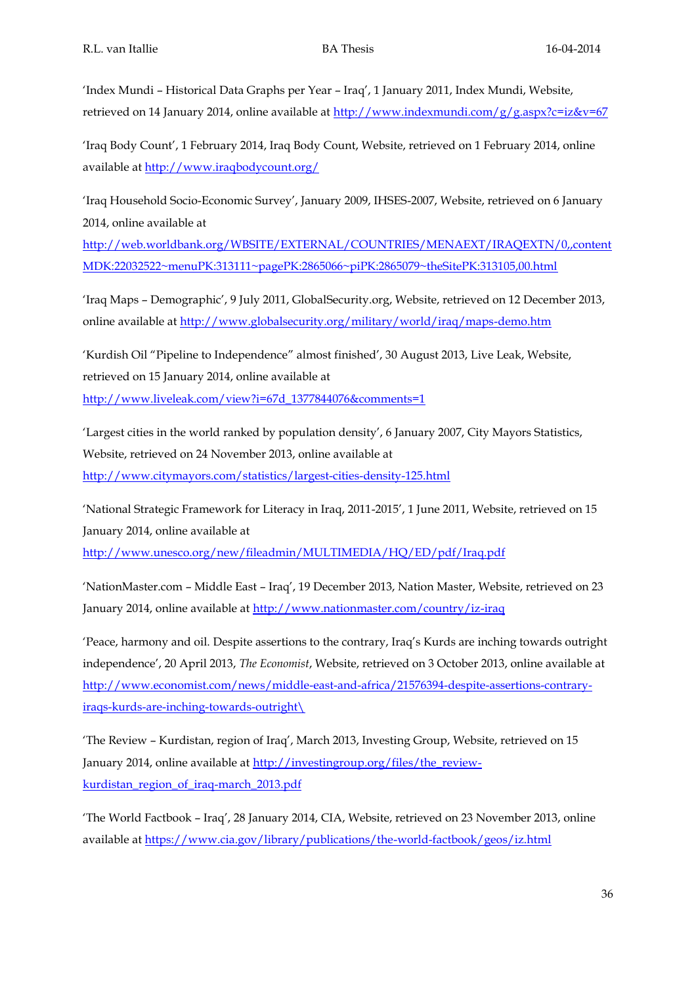'Index Mundi – Historical Data Graphs per Year – Iraq', 1 January 2011, Index Mundi, Website, retrieved on 14 January 2014, online available at<http://www.indexmundi.com/g/g.aspx?c=iz&v=67>

'Iraq Body Count', 1 February 2014, Iraq Body Count, Website, retrieved on 1 February 2014, online available at<http://www.iraqbodycount.org/>

'Iraq Household Socio-Economic Survey', January 2009, IHSES-2007, Website, retrieved on 6 January 2014, online available at

[http://web.worldbank.org/WBSITE/EXTERNAL/COUNTRIES/MENAEXT/IRAQEXTN/0,,content](http://web.worldbank.org/WBSITE/EXTERNAL/COUNTRIES/MENAEXT/IRAQEXTN/0,,contentMDK:22032522~menuPK:313111~pagePK:2865066~piPK:2865079~theSitePK:313105,00.html) [MDK:22032522~menuPK:313111~pagePK:2865066~piPK:2865079~theSitePK:313105,00.html](http://web.worldbank.org/WBSITE/EXTERNAL/COUNTRIES/MENAEXT/IRAQEXTN/0,,contentMDK:22032522~menuPK:313111~pagePK:2865066~piPK:2865079~theSitePK:313105,00.html)

'Iraq Maps – Demographic', 9 July 2011, GlobalSecurity.org, Website, retrieved on 12 December 2013, online available at<http://www.globalsecurity.org/military/world/iraq/maps-demo.htm>

'Kurdish Oil "Pipeline to Independence" almost finished', 30 August 2013, Live Leak, Website, retrieved on 15 January 2014, online available at [http://www.liveleak.com/view?i=67d\\_1377844076&comments=1](http://www.liveleak.com/view?i=67d_1377844076&comments=1)

'Largest cities in the world ranked by population density', 6 January 2007, City Mayors Statistics, Website, retrieved on 24 November 2013, online available at <http://www.citymayors.com/statistics/largest-cities-density-125.html>

'National Strategic Framework for Literacy in Iraq, 2011-2015', 1 June 2011, Website, retrieved on 15 January 2014, online available at <http://www.unesco.org/new/fileadmin/MULTIMEDIA/HQ/ED/pdf/Iraq.pdf>

'NationMaster.com – Middle East – Iraq', 19 December 2013, Nation Master, Website, retrieved on 23 January 2014, online available at<http://www.nationmaster.com/country/iz-iraq>

'Peace, harmony and oil. Despite assertions to the contrary, Iraq's Kurds are inching towards outright independence', 20 April 2013, *The Economist*, Website, retrieved on 3 October 2013, online available at [http://www.economist.com/news/middle-east-and-africa/21576394-despite-assertions-contrary](http://www.economist.com/news/middle-east-and-africa/21576394-despite-assertions-contrary-iraqs-kurds-are-inching-towards-outright/)[iraqs-kurds-are-inching-towards-outright\](http://www.economist.com/news/middle-east-and-africa/21576394-despite-assertions-contrary-iraqs-kurds-are-inching-towards-outright/)

'The Review – Kurdistan, region of Iraq', March 2013, Investing Group, Website, retrieved on 15 January 2014, online available at [http://investingroup.org/files/the\\_review](http://investingroup.org/files/the_review-kurdistan_region_of_iraq-march_2013.pdf)[kurdistan\\_region\\_of\\_iraq-march\\_2013.pdf](http://investingroup.org/files/the_review-kurdistan_region_of_iraq-march_2013.pdf)

'The World Factbook – Iraq', 28 January 2014, CIA, Website, retrieved on 23 November 2013, online available at<https://www.cia.gov/library/publications/the-world-factbook/geos/iz.html>